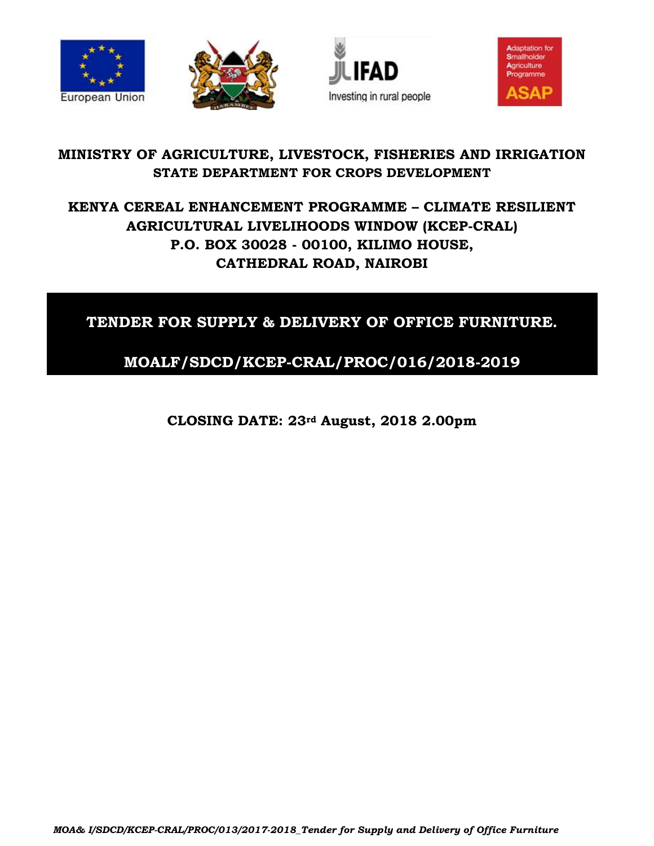







# **MINISTRY OF AGRICULTURE, LIVESTOCK, FISHERIES AND IRRIGATION STATE DEPARTMENT FOR CROPS DEVELOPMENT**

# **KENYA CEREAL ENHANCEMENT PROGRAMME – CLIMATE RESILIENT AGRICULTURAL LIVELIHOODS WINDOW (KCEP-CRAL) P.O. BOX 30028 - 00100, KILIMO HOUSE, CATHEDRAL ROAD, NAIROBI**

# **TENDER FOR SUPPLY & DELIVERY OF OFFICE FURNITURE.**

# **MOALF/SDCD/KCEP-CRAL/PROC/016/2018-2019**

**CLOSING DATE: 23rd August, 2018 2.00pm**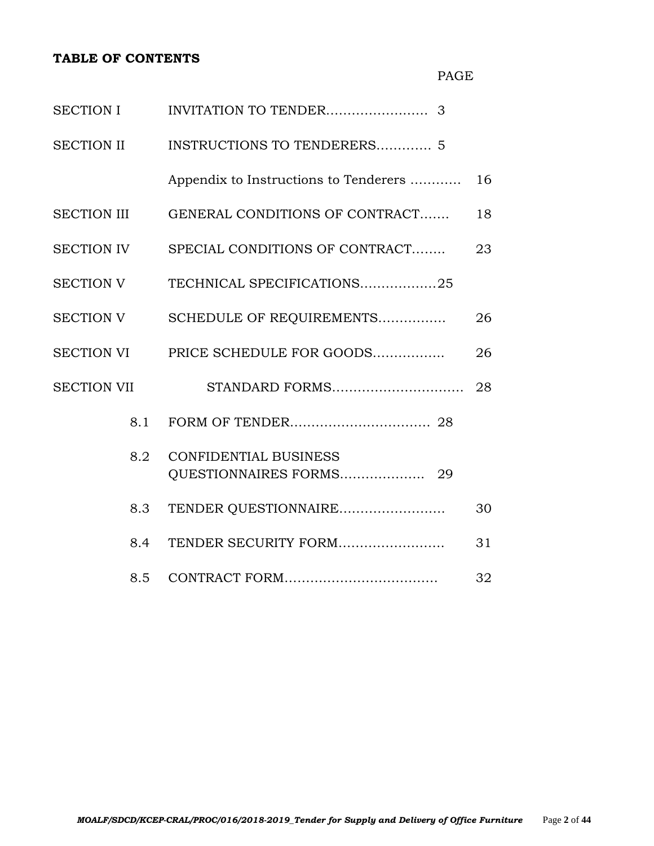#### **TABLE OF CONTENTS**

| <b>SECTION I</b>   |                                                            |    |  |  |  |
|--------------------|------------------------------------------------------------|----|--|--|--|
| SECTION II         | <b>INSTRUCTIONS TO TENDERERS 5</b>                         |    |  |  |  |
|                    | Appendix to Instructions to Tenderers                      | 16 |  |  |  |
| <b>SECTION III</b> | GENERAL CONDITIONS OF CONTRACT                             | 18 |  |  |  |
| <b>SECTION IV</b>  | SPECIAL CONDITIONS OF CONTRACT                             |    |  |  |  |
| <b>SECTION V</b>   | TECHNICAL SPECIFICATIONS25                                 |    |  |  |  |
| <b>SECTION V</b>   | SCHEDULE OF REQUIREMENTS                                   |    |  |  |  |
| <b>SECTION VI</b>  | PRICE SCHEDULE FOR GOODS                                   |    |  |  |  |
| <b>SECTION VII</b> | STANDARD FORMS                                             | 28 |  |  |  |
| 8.1                |                                                            |    |  |  |  |
| 8.2                | <b>CONFIDENTIAL BUSINESS</b><br>QUESTIONNAIRES FORMS<br>29 |    |  |  |  |
| 8.3                | TENDER QUESTIONNAIRE                                       | 30 |  |  |  |
| 8.4                | TENDER SECURITY FORM                                       | 31 |  |  |  |
| 8.5                |                                                            | 32 |  |  |  |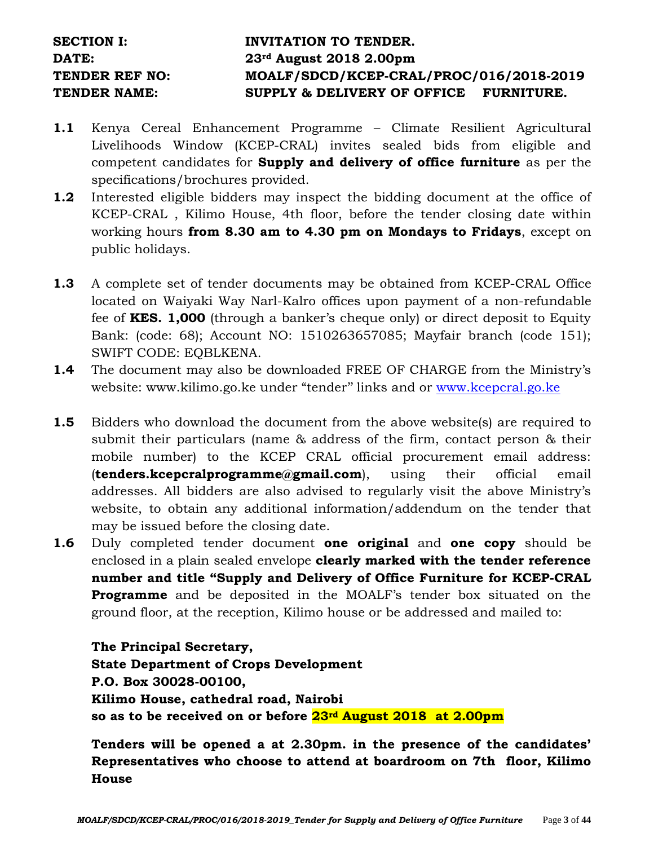# SECTION I: **INVITATION TO TENDER. DATE: 23rd August 2018 2.00pm TENDER REF NO: MOALF/SDCD/KCEP-CRAL/PROC/016/2018-2019 TENDER NAME: SUPPLY & DELIVERY OF OFFICE FURNITURE.**

- **1.1** Kenya Cereal Enhancement Programme Climate Resilient Agricultural Livelihoods Window (KCEP-CRAL) invites sealed bids from eligible and competent candidates for **Supply and delivery of office furniture** as per the specifications/brochures provided.
- **1.2** Interested eligible bidders may inspect the bidding document at the office of KCEP-CRAL , Kilimo House, 4th floor, before the tender closing date within working hours **from 8.30 am to 4.30 pm on Mondays to Fridays**, except on public holidays.
- **1.3** A complete set of tender documents may be obtained from KCEP-CRAL Office located on Waiyaki Way Narl-Kalro offices upon payment of a non-refundable fee of **KES. 1,000** (through a banker's cheque only) or direct deposit to Equity Bank: (code: 68); Account NO: 1510263657085; Mayfair branch (code 151); SWIFT CODE: EQBLKENA.
- **1.4** The document may also be downloaded FREE OF CHARGE from the Ministry's website: www.kilimo.go.ke under "tender'' links and or [www.kcepcral.go.ke](http://www.kcepcral.go.ke/)
- **1.5** Bidders who download the document from the above website(s) are required to submit their particulars (name & address of the firm, contact person & their mobile number) to the KCEP CRAL official procurement email address: (**tenders.kcepcralprogramme@gmail.com**), using their official email addresses. All bidders are also advised to regularly visit the above Ministry's website, to obtain any additional information/addendum on the tender that may be issued before the closing date.
- **1.6** Duly completed tender document **one original** and **one copy** should be enclosed in a plain sealed envelope **clearly marked with the tender reference number and title "Supply and Delivery of Office Furniture for KCEP-CRAL Programme** and be deposited in the MOALF's tender box situated on the ground floor, at the reception, Kilimo house or be addressed and mailed to:

**The Principal Secretary, State Department of Crops Development P.O. Box 30028-00100, Kilimo House, cathedral road, Nairobi so as to be received on or before 23rd August 2018 at 2.00pm**

**Tenders will be opened a at 2.30pm. in the presence of the candidates' Representatives who choose to attend at boardroom on 7th floor, Kilimo House**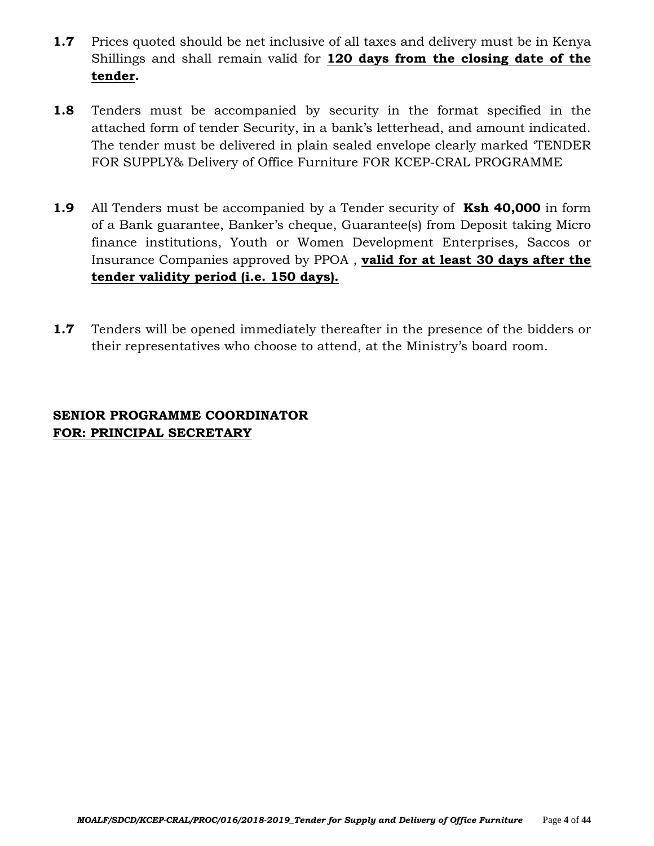- **1.7** Prices quoted should be net inclusive of all taxes and delivery must be in Kenya Shillings and shall remain valid for **120 days from the closing date of the tender.**
- **1.8** Tenders must be accompanied by security in the format specified in the attached form of tender Security, in a bank's letterhead, and amount indicated. The tender must be delivered in plain sealed envelope clearly marked 'TENDER FOR SUPPLY& Delivery of Office Furniture FOR KCEP-CRAL PROGRAMME
- **1.9** All Tenders must be accompanied by a Tender security of **Ksh 40,000** in form of a Bank guarantee, Banker's cheque, Guarantee(s) from Deposit taking Micro finance institutions, Youth or Women Development Enterprises, Saccos or Insurance Companies approved by PPOA , **valid for at least 30 days after the tender validity period (i.e. 150 days).**
- **1.7** Tenders will be opened immediately thereafter in the presence of the bidders or their representatives who choose to attend, at the Ministry's board room.

# **SENIOR PROGRAMME COORDINATOR FOR: PRINCIPAL SECRETARY**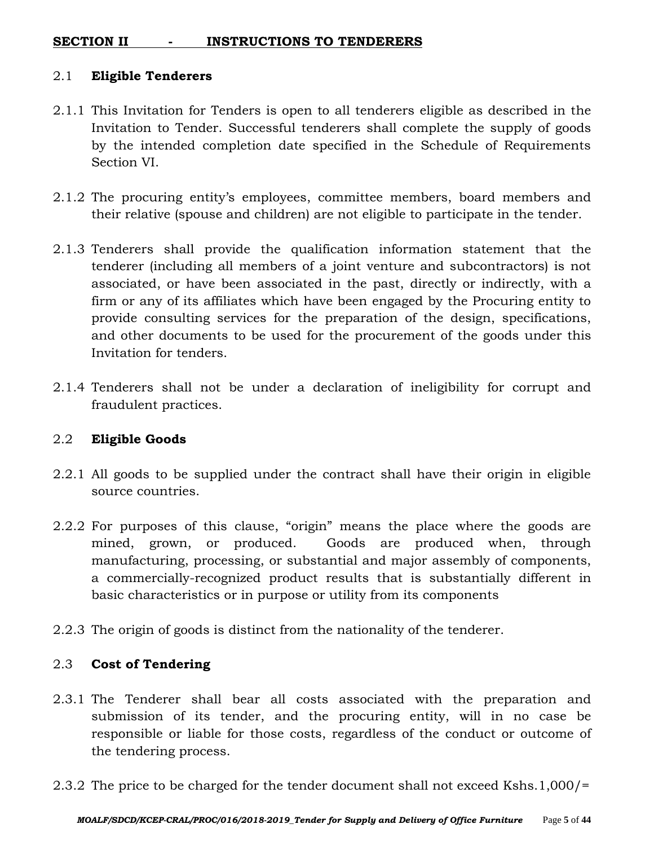## **SECTION II - INSTRUCTIONS TO TENDERERS**

#### 2.1 **Eligible Tenderers**

- 2.1.1 This Invitation for Tenders is open to all tenderers eligible as described in the Invitation to Tender. Successful tenderers shall complete the supply of goods by the intended completion date specified in the Schedule of Requirements Section VI.
- 2.1.2 The procuring entity's employees, committee members, board members and their relative (spouse and children) are not eligible to participate in the tender.
- 2.1.3 Tenderers shall provide the qualification information statement that the tenderer (including all members of a joint venture and subcontractors) is not associated, or have been associated in the past, directly or indirectly, with a firm or any of its affiliates which have been engaged by the Procuring entity to provide consulting services for the preparation of the design, specifications, and other documents to be used for the procurement of the goods under this Invitation for tenders.
- 2.1.4 Tenderers shall not be under a declaration of ineligibility for corrupt and fraudulent practices.

#### 2.2 **Eligible Goods**

- 2.2.1 All goods to be supplied under the contract shall have their origin in eligible source countries.
- 2.2.2 For purposes of this clause, "origin" means the place where the goods are mined, grown, or produced. Goods are produced when, through manufacturing, processing, or substantial and major assembly of components, a commercially-recognized product results that is substantially different in basic characteristics or in purpose or utility from its components
- 2.2.3 The origin of goods is distinct from the nationality of the tenderer.

## 2.3 **Cost of Tendering**

- 2.3.1 The Tenderer shall bear all costs associated with the preparation and submission of its tender, and the procuring entity, will in no case be responsible or liable for those costs, regardless of the conduct or outcome of the tendering process.
- 2.3.2 The price to be charged for the tender document shall not exceed Kshs.1,000/=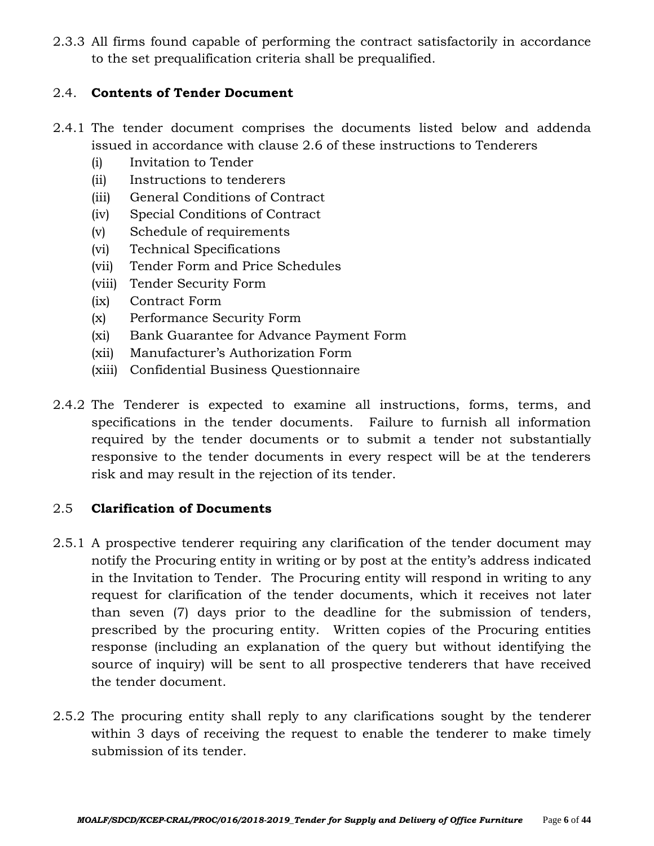2.3.3 All firms found capable of performing the contract satisfactorily in accordance to the set prequalification criteria shall be prequalified.

### 2.4. **Contents of Tender Document**

- 2.4.1 The tender document comprises the documents listed below and addenda issued in accordance with clause 2.6 of these instructions to Tenderers
	- (i) Invitation to Tender
	- (ii) Instructions to tenderers
	- (iii) General Conditions of Contract
	- (iv) Special Conditions of Contract
	- (v) Schedule of requirements
	- (vi) Technical Specifications
	- (vii) Tender Form and Price Schedules
	- (viii) Tender Security Form
	- (ix) Contract Form
	- (x) Performance Security Form
	- (xi) Bank Guarantee for Advance Payment Form
	- (xii) Manufacturer's Authorization Form
	- (xiii) Confidential Business Questionnaire
- 2.4.2 The Tenderer is expected to examine all instructions, forms, terms, and specifications in the tender documents. Failure to furnish all information required by the tender documents or to submit a tender not substantially responsive to the tender documents in every respect will be at the tenderers risk and may result in the rejection of its tender.

#### 2.5 **Clarification of Documents**

- 2.5.1 A prospective tenderer requiring any clarification of the tender document may notify the Procuring entity in writing or by post at the entity's address indicated in the Invitation to Tender. The Procuring entity will respond in writing to any request for clarification of the tender documents, which it receives not later than seven (7) days prior to the deadline for the submission of tenders, prescribed by the procuring entity. Written copies of the Procuring entities response (including an explanation of the query but without identifying the source of inquiry) will be sent to all prospective tenderers that have received the tender document.
- 2.5.2 The procuring entity shall reply to any clarifications sought by the tenderer within 3 days of receiving the request to enable the tenderer to make timely submission of its tender.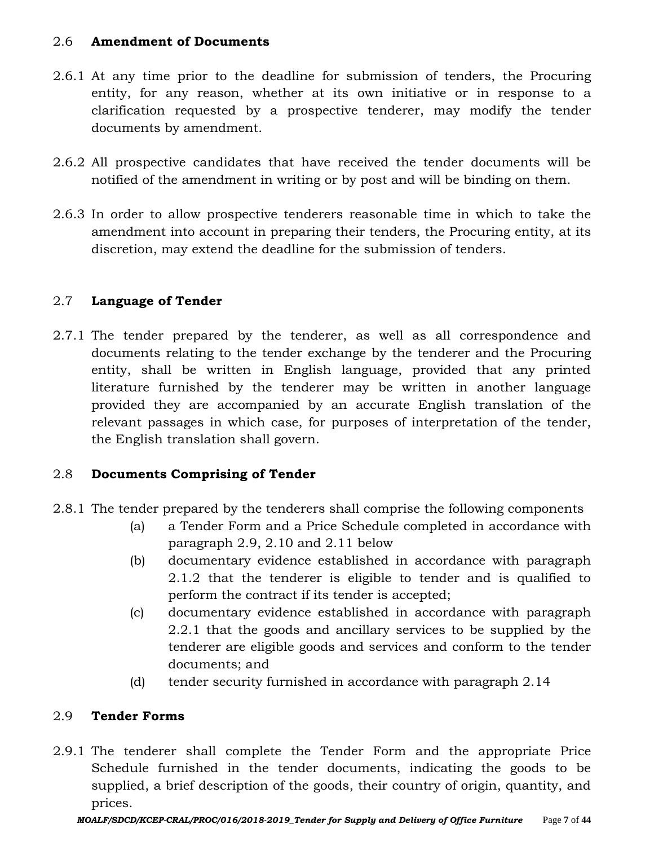### 2.6 **Amendment of Documents**

- 2.6.1 At any time prior to the deadline for submission of tenders, the Procuring entity, for any reason, whether at its own initiative or in response to a clarification requested by a prospective tenderer, may modify the tender documents by amendment.
- 2.6.2 All prospective candidates that have received the tender documents will be notified of the amendment in writing or by post and will be binding on them.
- 2.6.3 In order to allow prospective tenderers reasonable time in which to take the amendment into account in preparing their tenders, the Procuring entity, at its discretion, may extend the deadline for the submission of tenders.

# 2.7 **Language of Tender**

2.7.1 The tender prepared by the tenderer, as well as all correspondence and documents relating to the tender exchange by the tenderer and the Procuring entity, shall be written in English language, provided that any printed literature furnished by the tenderer may be written in another language provided they are accompanied by an accurate English translation of the relevant passages in which case, for purposes of interpretation of the tender, the English translation shall govern.

## 2.8 **Documents Comprising of Tender**

- 2.8.1 The tender prepared by the tenderers shall comprise the following components
	- (a) a Tender Form and a Price Schedule completed in accordance with paragraph 2.9, 2.10 and 2.11 below
	- (b) documentary evidence established in accordance with paragraph 2.1.2 that the tenderer is eligible to tender and is qualified to perform the contract if its tender is accepted;
	- (c) documentary evidence established in accordance with paragraph 2.2.1 that the goods and ancillary services to be supplied by the tenderer are eligible goods and services and conform to the tender documents; and
	- (d) tender security furnished in accordance with paragraph 2.14

#### 2.9 **Tender Forms**

2.9.1 The tenderer shall complete the Tender Form and the appropriate Price Schedule furnished in the tender documents, indicating the goods to be supplied, a brief description of the goods, their country of origin, quantity, and prices.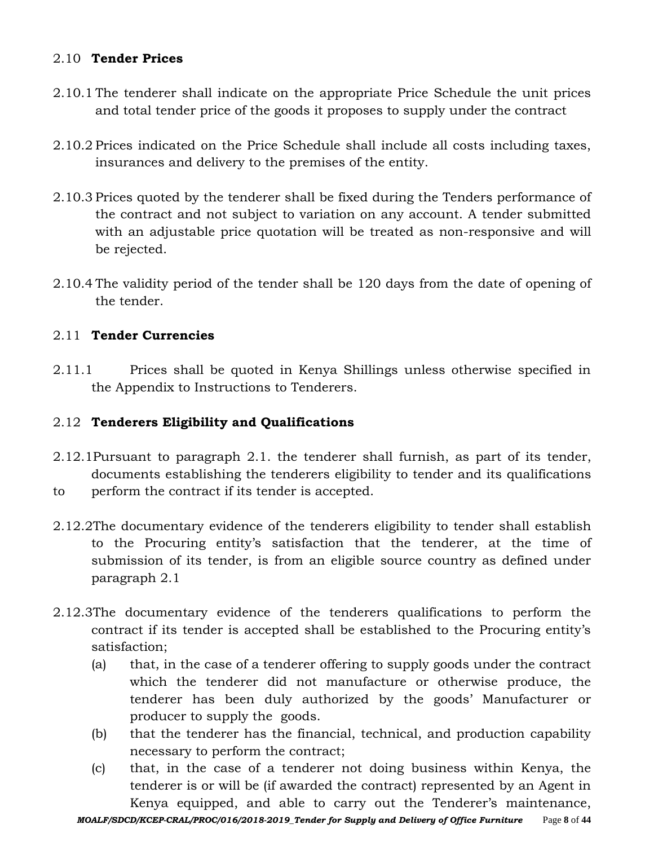## 2.10 **Tender Prices**

- 2.10.1 The tenderer shall indicate on the appropriate Price Schedule the unit prices and total tender price of the goods it proposes to supply under the contract
- 2.10.2 Prices indicated on the Price Schedule shall include all costs including taxes, insurances and delivery to the premises of the entity.
- 2.10.3 Prices quoted by the tenderer shall be fixed during the Tenders performance of the contract and not subject to variation on any account. A tender submitted with an adjustable price quotation will be treated as non-responsive and will be rejected.
- 2.10.4 The validity period of the tender shall be 120 days from the date of opening of the tender.

### 2.11 **Tender Currencies**

2.11.1 Prices shall be quoted in Kenya Shillings unless otherwise specified in the Appendix to Instructions to Tenderers.

#### 2.12 **Tenderers Eligibility and Qualifications**

- 2.12.1Pursuant to paragraph 2.1. the tenderer shall furnish, as part of its tender, documents establishing the tenderers eligibility to tender and its qualifications to perform the contract if its tender is accepted.
- 2.12.2The documentary evidence of the tenderers eligibility to tender shall establish to the Procuring entity's satisfaction that the tenderer, at the time of submission of its tender, is from an eligible source country as defined under paragraph 2.1
- 2.12.3The documentary evidence of the tenderers qualifications to perform the contract if its tender is accepted shall be established to the Procuring entity's satisfaction;
	- (a) that, in the case of a tenderer offering to supply goods under the contract which the tenderer did not manufacture or otherwise produce, the tenderer has been duly authorized by the goods' Manufacturer or producer to supply the goods.
	- (b) that the tenderer has the financial, technical, and production capability necessary to perform the contract;
	- (c) that, in the case of a tenderer not doing business within Kenya, the tenderer is or will be (if awarded the contract) represented by an Agent in Kenya equipped, and able to carry out the Tenderer's maintenance,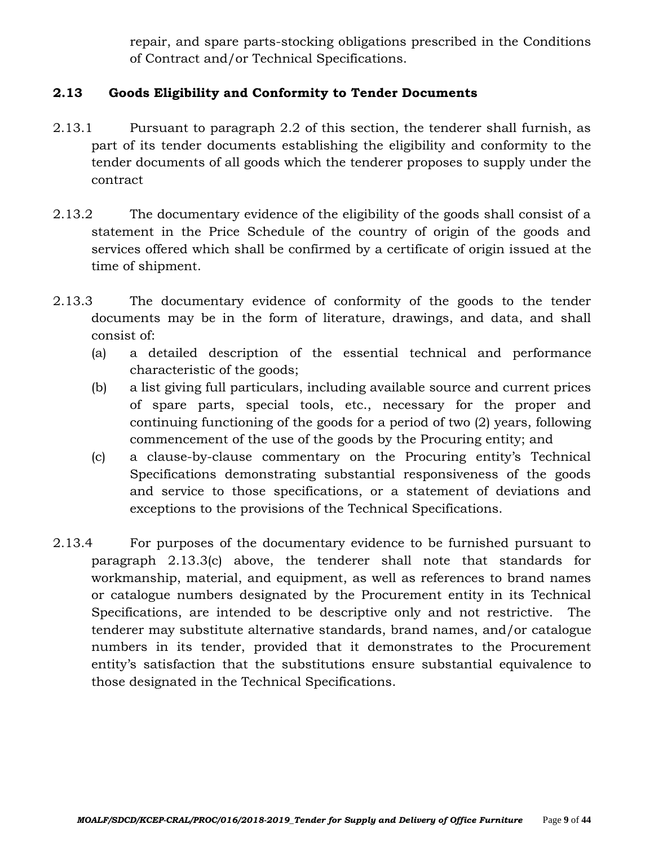repair, and spare parts-stocking obligations prescribed in the Conditions of Contract and/or Technical Specifications.

## **2.13 Goods Eligibility and Conformity to Tender Documents**

- 2.13.1 Pursuant to paragraph 2.2 of this section, the tenderer shall furnish, as part of its tender documents establishing the eligibility and conformity to the tender documents of all goods which the tenderer proposes to supply under the contract
- 2.13.2 The documentary evidence of the eligibility of the goods shall consist of a statement in the Price Schedule of the country of origin of the goods and services offered which shall be confirmed by a certificate of origin issued at the time of shipment.
- 2.13.3 The documentary evidence of conformity of the goods to the tender documents may be in the form of literature, drawings, and data, and shall consist of:
	- (a) a detailed description of the essential technical and performance characteristic of the goods;
	- (b) a list giving full particulars, including available source and current prices of spare parts, special tools, etc., necessary for the proper and continuing functioning of the goods for a period of two (2) years, following commencement of the use of the goods by the Procuring entity; and
	- (c) a clause-by-clause commentary on the Procuring entity's Technical Specifications demonstrating substantial responsiveness of the goods and service to those specifications, or a statement of deviations and exceptions to the provisions of the Technical Specifications.
- 2.13.4 For purposes of the documentary evidence to be furnished pursuant to paragraph 2.13.3(c) above, the tenderer shall note that standards for workmanship, material, and equipment, as well as references to brand names or catalogue numbers designated by the Procurement entity in its Technical Specifications, are intended to be descriptive only and not restrictive. The tenderer may substitute alternative standards, brand names, and/or catalogue numbers in its tender, provided that it demonstrates to the Procurement entity's satisfaction that the substitutions ensure substantial equivalence to those designated in the Technical Specifications.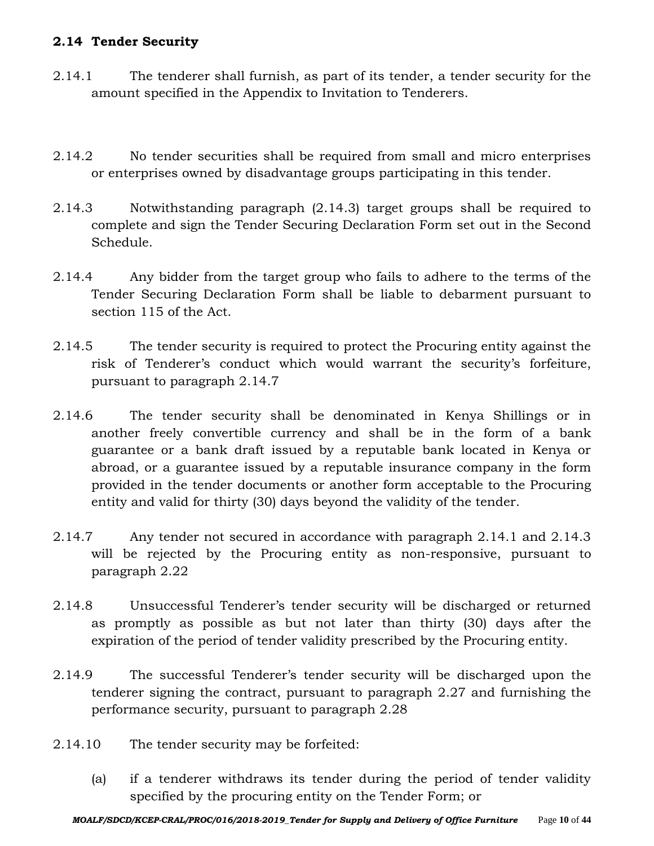## **2.14 Tender Security**

- 2.14.1 The tenderer shall furnish, as part of its tender, a tender security for the amount specified in the Appendix to Invitation to Tenderers.
- 2.14.2 No tender securities shall be required from small and micro enterprises or enterprises owned by disadvantage groups participating in this tender.
- 2.14.3 Notwithstanding paragraph (2.14.3) target groups shall be required to complete and sign the Tender Securing Declaration Form set out in the Second Schedule.
- 2.14.4 Any bidder from the target group who fails to adhere to the terms of the Tender Securing Declaration Form shall be liable to debarment pursuant to section 115 of the Act.
- 2.14.5 The tender security is required to protect the Procuring entity against the risk of Tenderer's conduct which would warrant the security's forfeiture, pursuant to paragraph 2.14.7
- 2.14.6 The tender security shall be denominated in Kenya Shillings or in another freely convertible currency and shall be in the form of a bank guarantee or a bank draft issued by a reputable bank located in Kenya or abroad, or a guarantee issued by a reputable insurance company in the form provided in the tender documents or another form acceptable to the Procuring entity and valid for thirty (30) days beyond the validity of the tender.
- 2.14.7 Any tender not secured in accordance with paragraph 2.14.1 and 2.14.3 will be rejected by the Procuring entity as non-responsive, pursuant to paragraph 2.22
- 2.14.8 Unsuccessful Tenderer's tender security will be discharged or returned as promptly as possible as but not later than thirty (30) days after the expiration of the period of tender validity prescribed by the Procuring entity.
- 2.14.9 The successful Tenderer's tender security will be discharged upon the tenderer signing the contract, pursuant to paragraph 2.27 and furnishing the performance security, pursuant to paragraph 2.28
- 2.14.10 The tender security may be forfeited:
	- (a) if a tenderer withdraws its tender during the period of tender validity specified by the procuring entity on the Tender Form; or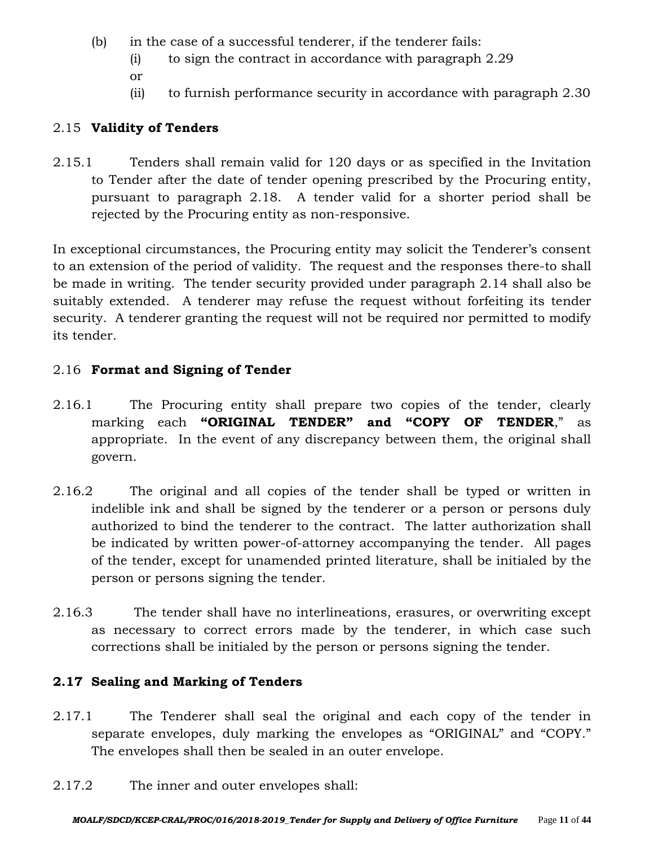- (b) in the case of a successful tenderer, if the tenderer fails:
	- (i) to sign the contract in accordance with paragraph 2.29
	- or
	- (ii) to furnish performance security in accordance with paragraph 2.30

# 2.15 **Validity of Tenders**

2.15.1 Tenders shall remain valid for 120 days or as specified in the Invitation to Tender after the date of tender opening prescribed by the Procuring entity, pursuant to paragraph 2.18. A tender valid for a shorter period shall be rejected by the Procuring entity as non-responsive.

In exceptional circumstances, the Procuring entity may solicit the Tenderer's consent to an extension of the period of validity. The request and the responses there-to shall be made in writing. The tender security provided under paragraph 2.14 shall also be suitably extended. A tenderer may refuse the request without forfeiting its tender security. A tenderer granting the request will not be required nor permitted to modify its tender.

# 2.16 **Format and Signing of Tender**

- 2.16.1 The Procuring entity shall prepare two copies of the tender, clearly marking each **"ORIGINAL TENDER" and "COPY OF TENDER**," as appropriate. In the event of any discrepancy between them, the original shall govern.
- 2.16.2 The original and all copies of the tender shall be typed or written in indelible ink and shall be signed by the tenderer or a person or persons duly authorized to bind the tenderer to the contract. The latter authorization shall be indicated by written power-of-attorney accompanying the tender. All pages of the tender, except for unamended printed literature, shall be initialed by the person or persons signing the tender.
- 2.16.3 The tender shall have no interlineations, erasures, or overwriting except as necessary to correct errors made by the tenderer, in which case such corrections shall be initialed by the person or persons signing the tender.

# **2.17 Sealing and Marking of Tenders**

- 2.17.1 The Tenderer shall seal the original and each copy of the tender in separate envelopes, duly marking the envelopes as "ORIGINAL" and "COPY." The envelopes shall then be sealed in an outer envelope.
- 2.17.2 The inner and outer envelopes shall: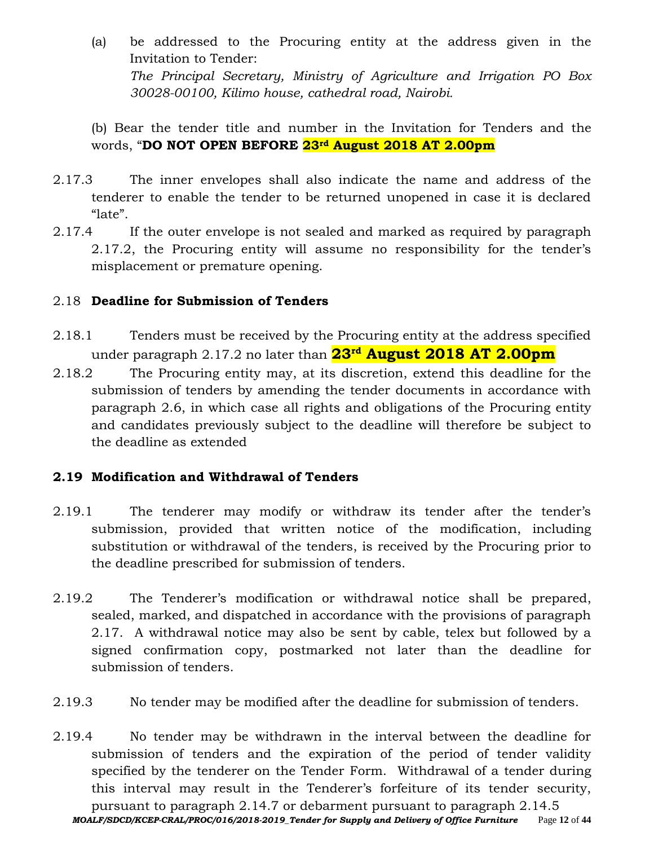- (a) be addressed to the Procuring entity at the address given in the Invitation to Tender: *The Principal Secretary, Ministry of Agriculture and Irrigation PO Box 30028-00100, Kilimo house, cathedral road, Nairobi.*
- (b) Bear the tender title and number in the Invitation for Tenders and the words, "**DO NOT OPEN BEFORE 23rd August 2018 AT 2.00pm**
- 2.17.3 The inner envelopes shall also indicate the name and address of the tenderer to enable the tender to be returned unopened in case it is declared "late".
- 2.17.4 If the outer envelope is not sealed and marked as required by paragraph 2.17.2, the Procuring entity will assume no responsibility for the tender's misplacement or premature opening.

### 2.18 **Deadline for Submission of Tenders**

- 2.18.1 Tenders must be received by the Procuring entity at the address specified under paragraph 2.17.2 no later than **23rd August 2018 AT 2.00pm**
- 2.18.2 The Procuring entity may, at its discretion, extend this deadline for the submission of tenders by amending the tender documents in accordance with paragraph 2.6, in which case all rights and obligations of the Procuring entity and candidates previously subject to the deadline will therefore be subject to the deadline as extended

## **2.19 Modification and Withdrawal of Tenders**

- 2.19.1 The tenderer may modify or withdraw its tender after the tender's submission, provided that written notice of the modification, including substitution or withdrawal of the tenders, is received by the Procuring prior to the deadline prescribed for submission of tenders.
- 2.19.2 The Tenderer's modification or withdrawal notice shall be prepared, sealed, marked, and dispatched in accordance with the provisions of paragraph 2.17. A withdrawal notice may also be sent by cable, telex but followed by a signed confirmation copy, postmarked not later than the deadline for submission of tenders.
- 2.19.3 No tender may be modified after the deadline for submission of tenders.
- *MOALF/SDCD/KCEP-CRAL/PROC/016/2018-2019\_Tender for Supply and Delivery of Office Furniture* Page **12** of **44** 2.19.4 No tender may be withdrawn in the interval between the deadline for submission of tenders and the expiration of the period of tender validity specified by the tenderer on the Tender Form. Withdrawal of a tender during this interval may result in the Tenderer's forfeiture of its tender security, pursuant to paragraph 2.14.7 or debarment pursuant to paragraph 2.14.5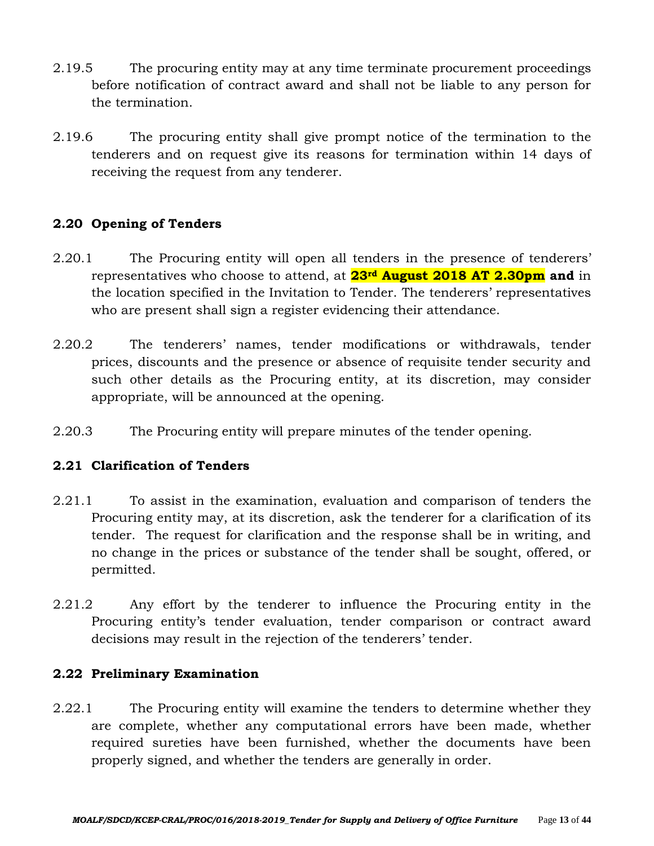- 2.19.5 The procuring entity may at any time terminate procurement proceedings before notification of contract award and shall not be liable to any person for the termination.
- 2.19.6 The procuring entity shall give prompt notice of the termination to the tenderers and on request give its reasons for termination within 14 days of receiving the request from any tenderer.

## **2.20 Opening of Tenders**

- 2.20.1 The Procuring entity will open all tenders in the presence of tenderers' representatives who choose to attend, at **23rd August 2018 AT 2.30pm and** in the location specified in the Invitation to Tender. The tenderers' representatives who are present shall sign a register evidencing their attendance.
- 2.20.2 The tenderers' names, tender modifications or withdrawals, tender prices, discounts and the presence or absence of requisite tender security and such other details as the Procuring entity, at its discretion, may consider appropriate, will be announced at the opening.
- 2.20.3 The Procuring entity will prepare minutes of the tender opening.

## **2.21 Clarification of Tenders**

- 2.21.1 To assist in the examination, evaluation and comparison of tenders the Procuring entity may, at its discretion, ask the tenderer for a clarification of its tender. The request for clarification and the response shall be in writing, and no change in the prices or substance of the tender shall be sought, offered, or permitted.
- 2.21.2 Any effort by the tenderer to influence the Procuring entity in the Procuring entity's tender evaluation, tender comparison or contract award decisions may result in the rejection of the tenderers' tender.

#### **2.22 Preliminary Examination**

2.22.1 The Procuring entity will examine the tenders to determine whether they are complete, whether any computational errors have been made, whether required sureties have been furnished, whether the documents have been properly signed, and whether the tenders are generally in order.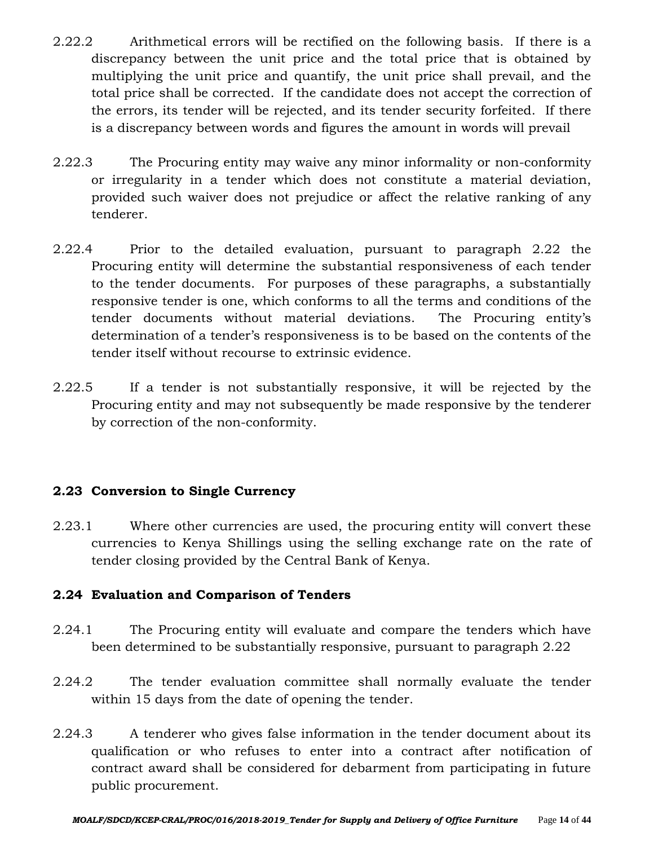- 2.22.2 Arithmetical errors will be rectified on the following basis. If there is a discrepancy between the unit price and the total price that is obtained by multiplying the unit price and quantify, the unit price shall prevail, and the total price shall be corrected. If the candidate does not accept the correction of the errors, its tender will be rejected, and its tender security forfeited. If there is a discrepancy between words and figures the amount in words will prevail
- 2.22.3 The Procuring entity may waive any minor informality or non-conformity or irregularity in a tender which does not constitute a material deviation, provided such waiver does not prejudice or affect the relative ranking of any tenderer.
- 2.22.4 Prior to the detailed evaluation, pursuant to paragraph 2.22 the Procuring entity will determine the substantial responsiveness of each tender to the tender documents. For purposes of these paragraphs, a substantially responsive tender is one, which conforms to all the terms and conditions of the tender documents without material deviations. The Procuring entity's determination of a tender's responsiveness is to be based on the contents of the tender itself without recourse to extrinsic evidence.
- 2.22.5 If a tender is not substantially responsive, it will be rejected by the Procuring entity and may not subsequently be made responsive by the tenderer by correction of the non-conformity.

## **2.23 Conversion to Single Currency**

2.23.1 Where other currencies are used, the procuring entity will convert these currencies to Kenya Shillings using the selling exchange rate on the rate of tender closing provided by the Central Bank of Kenya.

## **2.24 Evaluation and Comparison of Tenders**

- 2.24.1 The Procuring entity will evaluate and compare the tenders which have been determined to be substantially responsive, pursuant to paragraph 2.22
- 2.24.2 The tender evaluation committee shall normally evaluate the tender within 15 days from the date of opening the tender.
- 2.24.3 A tenderer who gives false information in the tender document about its qualification or who refuses to enter into a contract after notification of contract award shall be considered for debarment from participating in future public procurement.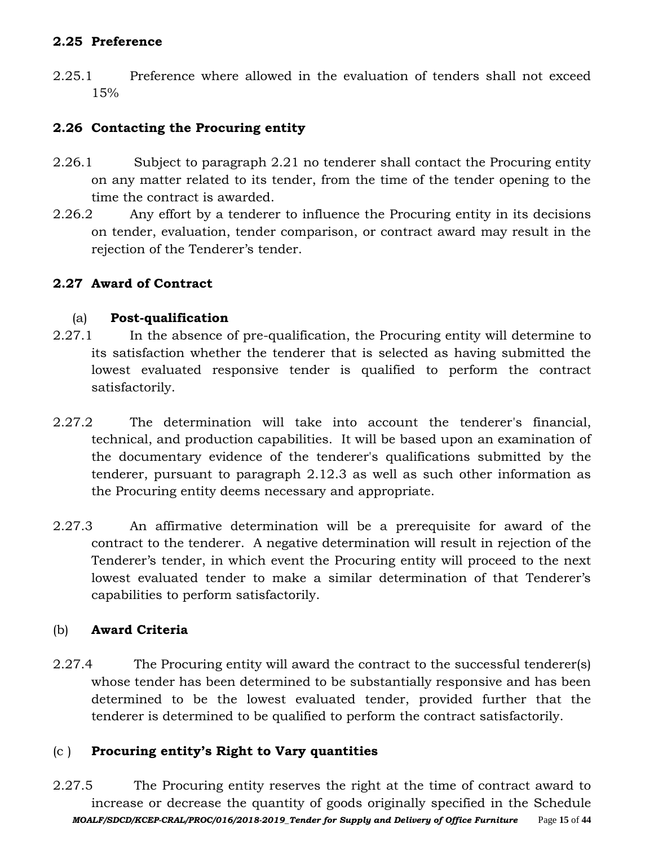### **2.25 Preference**

2.25.1 Preference where allowed in the evaluation of tenders shall not exceed 15%

## **2.26 Contacting the Procuring entity**

- 2.26.1 Subject to paragraph 2.21 no tenderer shall contact the Procuring entity on any matter related to its tender, from the time of the tender opening to the time the contract is awarded.
- 2.26.2 Any effort by a tenderer to influence the Procuring entity in its decisions on tender, evaluation, tender comparison, or contract award may result in the rejection of the Tenderer's tender.

## **2.27 Award of Contract**

## (a) **Post-qualification**

- 2.27.1 In the absence of pre-qualification, the Procuring entity will determine to its satisfaction whether the tenderer that is selected as having submitted the lowest evaluated responsive tender is qualified to perform the contract satisfactorily.
- 2.27.2 The determination will take into account the tenderer's financial, technical, and production capabilities. It will be based upon an examination of the documentary evidence of the tenderer's qualifications submitted by the tenderer, pursuant to paragraph 2.12.3 as well as such other information as the Procuring entity deems necessary and appropriate.
- 2.27.3 An affirmative determination will be a prerequisite for award of the contract to the tenderer. A negative determination will result in rejection of the Tenderer's tender, in which event the Procuring entity will proceed to the next lowest evaluated tender to make a similar determination of that Tenderer's capabilities to perform satisfactorily.

## (b) **Award Criteria**

2.27.4 The Procuring entity will award the contract to the successful tenderer(s) whose tender has been determined to be substantially responsive and has been determined to be the lowest evaluated tender, provided further that the tenderer is determined to be qualified to perform the contract satisfactorily.

# (c ) **Procuring entity's Right to Vary quantities**

*MOALF/SDCD/KCEP-CRAL/PROC/016/2018-2019\_Tender for Supply and Delivery of Office Furniture* Page **15** of **44** 2.27.5 The Procuring entity reserves the right at the time of contract award to increase or decrease the quantity of goods originally specified in the Schedule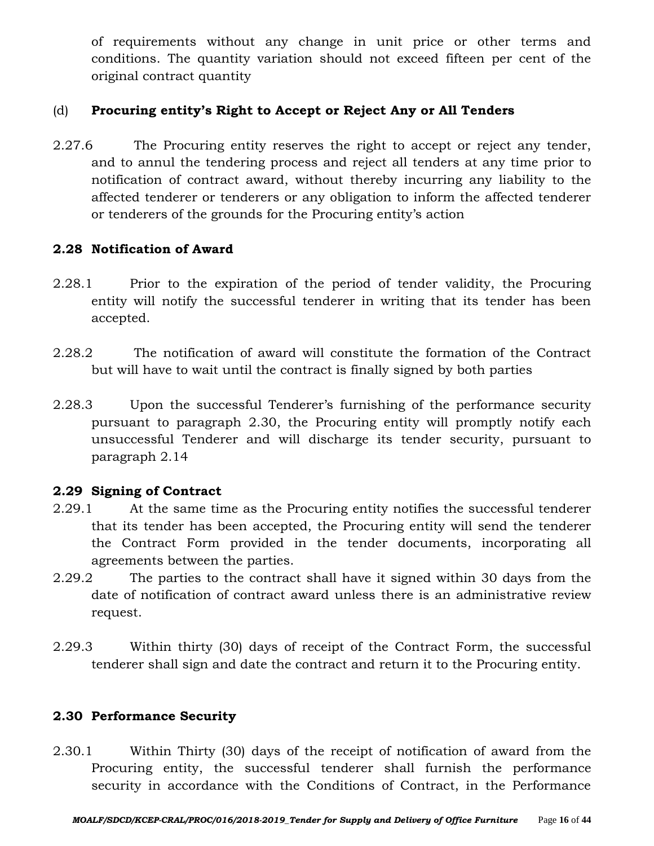of requirements without any change in unit price or other terms and conditions. The quantity variation should not exceed fifteen per cent of the original contract quantity

### (d) **Procuring entity's Right to Accept or Reject Any or All Tenders**

2.27.6 The Procuring entity reserves the right to accept or reject any tender, and to annul the tendering process and reject all tenders at any time prior to notification of contract award, without thereby incurring any liability to the affected tenderer or tenderers or any obligation to inform the affected tenderer or tenderers of the grounds for the Procuring entity's action

#### **2.28 Notification of Award**

- 2.28.1 Prior to the expiration of the period of tender validity, the Procuring entity will notify the successful tenderer in writing that its tender has been accepted.
- 2.28.2 The notification of award will constitute the formation of the Contract but will have to wait until the contract is finally signed by both parties
- 2.28.3 Upon the successful Tenderer's furnishing of the performance security pursuant to paragraph 2.30, the Procuring entity will promptly notify each unsuccessful Tenderer and will discharge its tender security, pursuant to paragraph 2.14

## **2.29 Signing of Contract**

- 2.29.1 At the same time as the Procuring entity notifies the successful tenderer that its tender has been accepted, the Procuring entity will send the tenderer the Contract Form provided in the tender documents, incorporating all agreements between the parties.
- 2.29.2 The parties to the contract shall have it signed within 30 days from the date of notification of contract award unless there is an administrative review request.
- 2.29.3 Within thirty (30) days of receipt of the Contract Form, the successful tenderer shall sign and date the contract and return it to the Procuring entity.

## **2.30 Performance Security**

2.30.1 Within Thirty (30) days of the receipt of notification of award from the Procuring entity, the successful tenderer shall furnish the performance security in accordance with the Conditions of Contract, in the Performance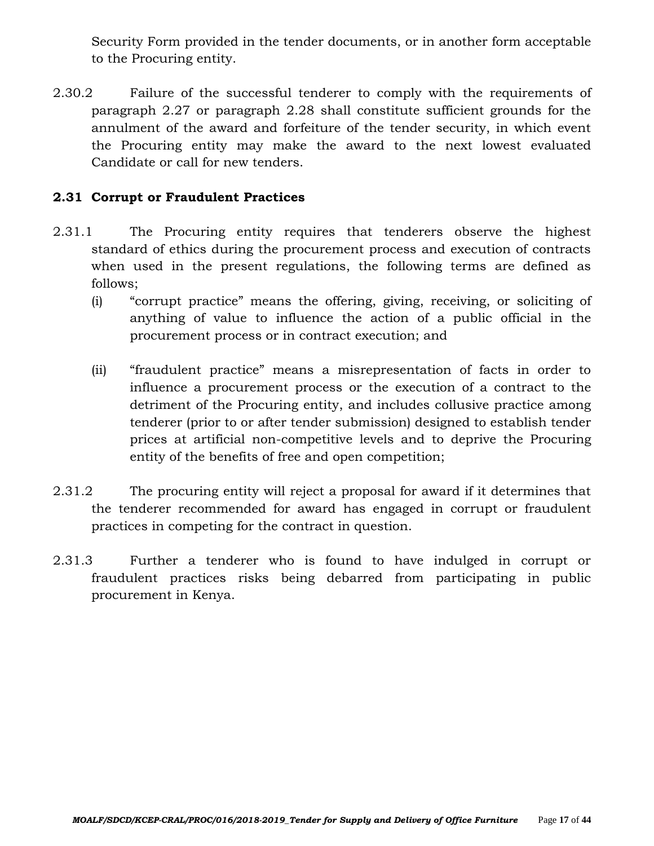Security Form provided in the tender documents, or in another form acceptable to the Procuring entity.

2.30.2 Failure of the successful tenderer to comply with the requirements of paragraph 2.27 or paragraph 2.28 shall constitute sufficient grounds for the annulment of the award and forfeiture of the tender security, in which event the Procuring entity may make the award to the next lowest evaluated Candidate or call for new tenders.

# **2.31 Corrupt or Fraudulent Practices**

- 2.31.1 The Procuring entity requires that tenderers observe the highest standard of ethics during the procurement process and execution of contracts when used in the present regulations, the following terms are defined as follows;
	- (i) "corrupt practice" means the offering, giving, receiving, or soliciting of anything of value to influence the action of a public official in the procurement process or in contract execution; and
	- (ii) "fraudulent practice" means a misrepresentation of facts in order to influence a procurement process or the execution of a contract to the detriment of the Procuring entity, and includes collusive practice among tenderer (prior to or after tender submission) designed to establish tender prices at artificial non-competitive levels and to deprive the Procuring entity of the benefits of free and open competition;
- 2.31.2 The procuring entity will reject a proposal for award if it determines that the tenderer recommended for award has engaged in corrupt or fraudulent practices in competing for the contract in question.
- 2.31.3 Further a tenderer who is found to have indulged in corrupt or fraudulent practices risks being debarred from participating in public procurement in Kenya.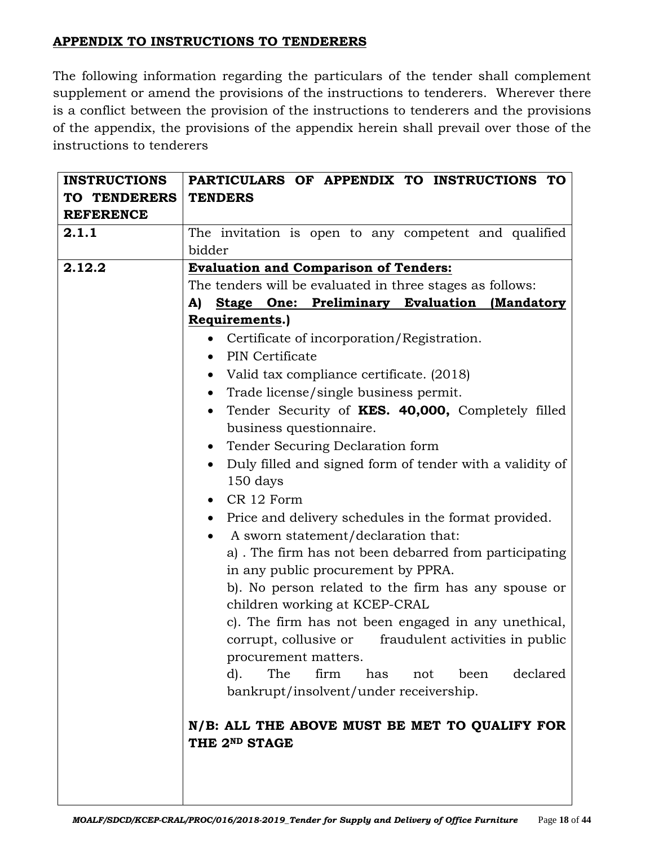# **APPENDIX TO INSTRUCTIONS TO TENDERERS**

The following information regarding the particulars of the tender shall complement supplement or amend the provisions of the instructions to tenderers. Wherever there is a conflict between the provision of the instructions to tenderers and the provisions of the appendix, the provisions of the appendix herein shall prevail over those of the instructions to tenderers

| <b>INSTRUCTIONS</b> | PARTICULARS OF APPENDIX TO INSTRUCTIONS TO                            |  |  |  |  |  |  |
|---------------------|-----------------------------------------------------------------------|--|--|--|--|--|--|
| TO TENDERERS        | <b>TENDERS</b>                                                        |  |  |  |  |  |  |
| <b>REFERENCE</b>    |                                                                       |  |  |  |  |  |  |
| 2.1.1               | The invitation is open to any competent and qualified                 |  |  |  |  |  |  |
|                     | bidder                                                                |  |  |  |  |  |  |
| 2.12.2              | <b>Evaluation and Comparison of Tenders:</b>                          |  |  |  |  |  |  |
|                     | The tenders will be evaluated in three stages as follows:             |  |  |  |  |  |  |
|                     | Stage One: Preliminary Evaluation (Mandatory<br>A)                    |  |  |  |  |  |  |
|                     | Requirements.)                                                        |  |  |  |  |  |  |
|                     | • Certificate of incorporation/Registration.                          |  |  |  |  |  |  |
|                     | • PIN Certificate                                                     |  |  |  |  |  |  |
|                     | Valid tax compliance certificate. (2018)<br>$\bullet$                 |  |  |  |  |  |  |
|                     | Trade license/single business permit.<br>$\bullet$                    |  |  |  |  |  |  |
|                     | Tender Security of KES. 40,000, Completely filled<br>$\bullet$        |  |  |  |  |  |  |
|                     | business questionnaire.                                               |  |  |  |  |  |  |
|                     | • Tender Securing Declaration form                                    |  |  |  |  |  |  |
|                     | Duly filled and signed form of tender with a validity of<br>$\bullet$ |  |  |  |  |  |  |
|                     | 150 days                                                              |  |  |  |  |  |  |
|                     | CR 12 Form                                                            |  |  |  |  |  |  |
|                     | Price and delivery schedules in the format provided.<br>$\bullet$     |  |  |  |  |  |  |
|                     | A sworn statement/declaration that:                                   |  |  |  |  |  |  |
|                     | a). The firm has not been debarred from participating                 |  |  |  |  |  |  |
|                     | in any public procurement by PPRA.                                    |  |  |  |  |  |  |
|                     | b). No person related to the firm has any spouse or                   |  |  |  |  |  |  |
|                     | children working at KCEP-CRAL                                         |  |  |  |  |  |  |
|                     | c). The firm has not been engaged in any unethical,                   |  |  |  |  |  |  |
|                     | corrupt, collusive or fraudulent activities in public                 |  |  |  |  |  |  |
|                     | procurement matters.                                                  |  |  |  |  |  |  |
|                     | The<br>declared<br>firm<br>has<br>$d$ ).<br>not<br>been               |  |  |  |  |  |  |
|                     | bankrupt/insolvent/under receivership.                                |  |  |  |  |  |  |
|                     |                                                                       |  |  |  |  |  |  |
|                     | N/B: ALL THE ABOVE MUST BE MET TO QUALIFY FOR                         |  |  |  |  |  |  |
|                     | THE 2ND STAGE                                                         |  |  |  |  |  |  |
|                     |                                                                       |  |  |  |  |  |  |
|                     |                                                                       |  |  |  |  |  |  |
|                     |                                                                       |  |  |  |  |  |  |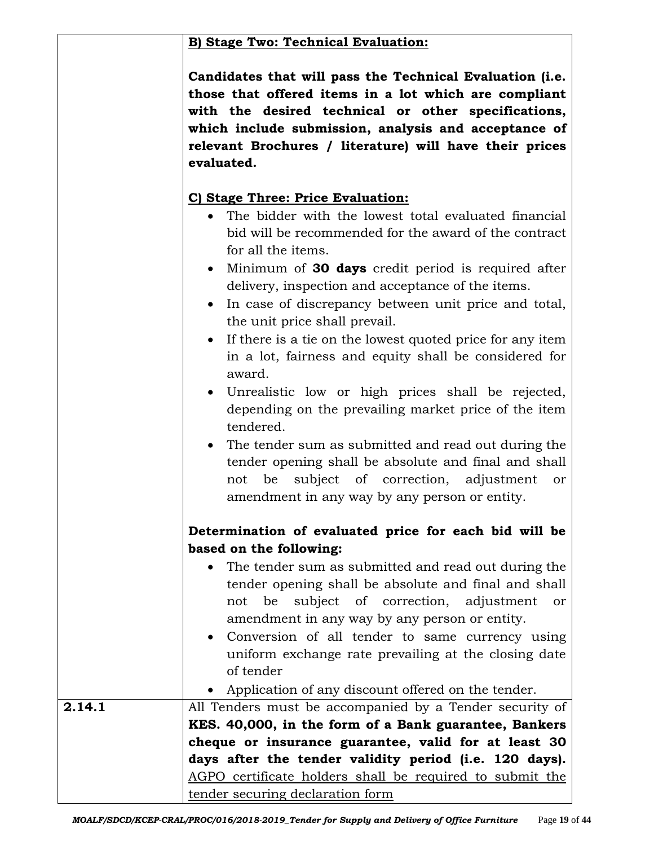# **B) Stage Two: Technical Evaluation:**

| Candidates that will pass the Technical Evaluation (i.e. |
|----------------------------------------------------------|
| those that offered items in a lot which are compliant    |
| with the desired technical or other specifications,      |
| which include submission, analysis and acceptance of     |
| relevant Brochures / literature) will have their prices  |
| evaluated.                                               |

# **C) Stage Three: Price Evaluation:**

- The bidder with the lowest total evaluated financial bid will be recommended for the award of the contract for all the items.
- Minimum of **30 days** credit period is required after delivery, inspection and acceptance of the items.
- In case of discrepancy between unit price and total, the unit price shall prevail.
- If there is a tie on the lowest quoted price for any item in a lot, fairness and equity shall be considered for award.
- Unrealistic low or high prices shall be rejected, depending on the prevailing market price of the item tendered.
- The tender sum as submitted and read out during the tender opening shall be absolute and final and shall not be subject of correction, adjustment or amendment in any way by any person or entity.

# **Determination of evaluated price for each bid will be based on the following:**

- The tender sum as submitted and read out during the tender opening shall be absolute and final and shall not be subject of correction, adjustment or amendment in any way by any person or entity.
- Conversion of all tender to same currency using uniform exchange rate prevailing at the closing date of tender

|        | • Application of any discount offered on the tender.     |  |  |  |  |  |
|--------|----------------------------------------------------------|--|--|--|--|--|
| 2.14.1 | All Tenders must be accompanied by a Tender security of  |  |  |  |  |  |
|        | KES. 40,000, in the form of a Bank guarantee, Bankers    |  |  |  |  |  |
|        | cheque or insurance guarantee, valid for at least 30     |  |  |  |  |  |
|        | days after the tender validity period (i.e. 120 days).   |  |  |  |  |  |
|        | AGPO certificate holders shall be required to submit the |  |  |  |  |  |
|        | tender securing declaration form                         |  |  |  |  |  |
|        |                                                          |  |  |  |  |  |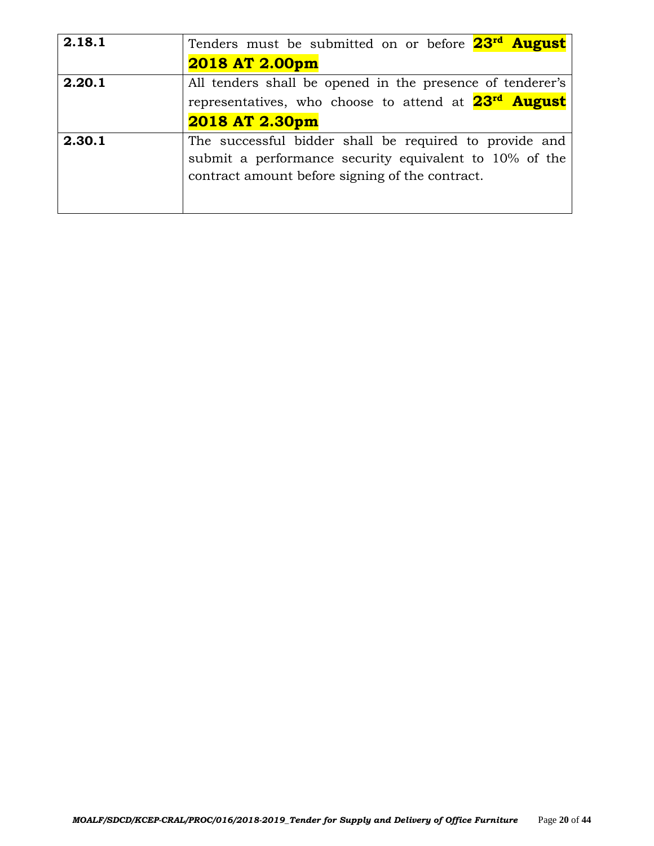| 2.18.1 | Tenders must be submitted on or before 23 <sup>rd</sup> August   |
|--------|------------------------------------------------------------------|
|        | 2018 AT 2.00pm                                                   |
| 2.20.1 | All tenders shall be opened in the presence of tenderer's        |
|        | representatives, who choose to attend at 23 <sup>rd</sup> August |
|        | 2018 AT 2.30pm                                                   |
| 2.30.1 | The successful bidder shall be required to provide and           |
|        | submit a performance security equivalent to 10% of the           |
|        | contract amount before signing of the contract.                  |
|        |                                                                  |
|        |                                                                  |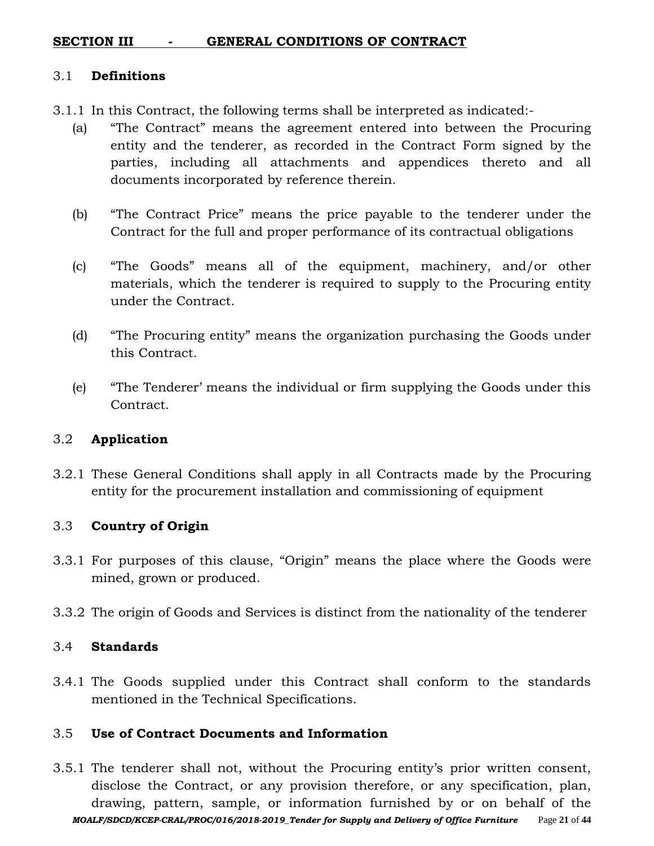### **SECTION III - GENERAL CONDITIONS OF CONTRACT**

#### 3.1 **Definitions**

- 3.1.1 In this Contract, the following terms shall be interpreted as indicated:-
	- (a) "The Contract" means the agreement entered into between the Procuring entity and the tenderer, as recorded in the Contract Form signed by the parties, including all attachments and appendices thereto and all documents incorporated by reference therein.
	- (b) "The Contract Price" means the price payable to the tenderer under the Contract for the full and proper performance of its contractual obligations
	- (c) "The Goods" means all of the equipment, machinery, and/or other materials, which the tenderer is required to supply to the Procuring entity under the Contract.
	- (d) "The Procuring entity" means the organization purchasing the Goods under this Contract.
	- (e) "The Tenderer' means the individual or firm supplying the Goods under this Contract.

#### 3.2 **Application**

3.2.1 These General Conditions shall apply in all Contracts made by the Procuring entity for the procurement installation and commissioning of equipment

#### 3.3 **Country of Origin**

- 3.3.1 For purposes of this clause, "Origin" means the place where the Goods were mined, grown or produced.
- 3.3.2 The origin of Goods and Services is distinct from the nationality of the tenderer

#### 3.4 **Standards**

3.4.1 The Goods supplied under this Contract shall conform to the standards mentioned in the Technical Specifications.

#### 3.5 **Use of Contract Documents and Information**

*MOALF/SDCD/KCEP-CRAL/PROC/016/2018-2019\_Tender for Supply and Delivery of Office Furniture* Page **21** of **44** 3.5.1 The tenderer shall not, without the Procuring entity's prior written consent, disclose the Contract, or any provision therefore, or any specification, plan, drawing, pattern, sample, or information furnished by or on behalf of the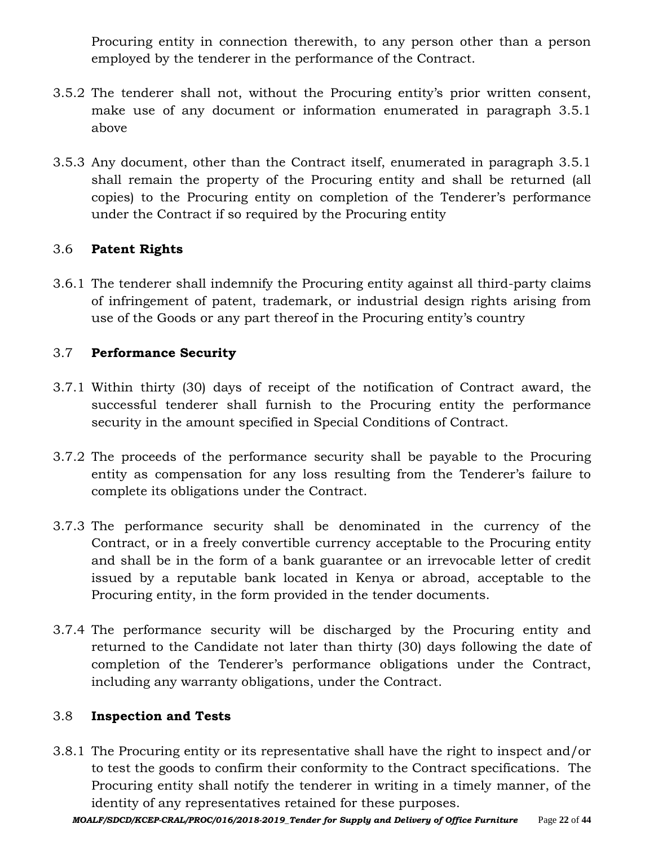Procuring entity in connection therewith, to any person other than a person employed by the tenderer in the performance of the Contract.

- 3.5.2 The tenderer shall not, without the Procuring entity's prior written consent, make use of any document or information enumerated in paragraph 3.5.1 above
- 3.5.3 Any document, other than the Contract itself, enumerated in paragraph 3.5.1 shall remain the property of the Procuring entity and shall be returned (all copies) to the Procuring entity on completion of the Tenderer's performance under the Contract if so required by the Procuring entity

## 3.6 **Patent Rights**

3.6.1 The tenderer shall indemnify the Procuring entity against all third-party claims of infringement of patent, trademark, or industrial design rights arising from use of the Goods or any part thereof in the Procuring entity's country

# 3.7 **Performance Security**

- 3.7.1 Within thirty (30) days of receipt of the notification of Contract award, the successful tenderer shall furnish to the Procuring entity the performance security in the amount specified in Special Conditions of Contract.
- 3.7.2 The proceeds of the performance security shall be payable to the Procuring entity as compensation for any loss resulting from the Tenderer's failure to complete its obligations under the Contract.
- 3.7.3 The performance security shall be denominated in the currency of the Contract, or in a freely convertible currency acceptable to the Procuring entity and shall be in the form of a bank guarantee or an irrevocable letter of credit issued by a reputable bank located in Kenya or abroad, acceptable to the Procuring entity, in the form provided in the tender documents.
- 3.7.4 The performance security will be discharged by the Procuring entity and returned to the Candidate not later than thirty (30) days following the date of completion of the Tenderer's performance obligations under the Contract, including any warranty obligations, under the Contract.

## 3.8 **Inspection and Tests**

3.8.1 The Procuring entity or its representative shall have the right to inspect and/or to test the goods to confirm their conformity to the Contract specifications. The Procuring entity shall notify the tenderer in writing in a timely manner, of the identity of any representatives retained for these purposes.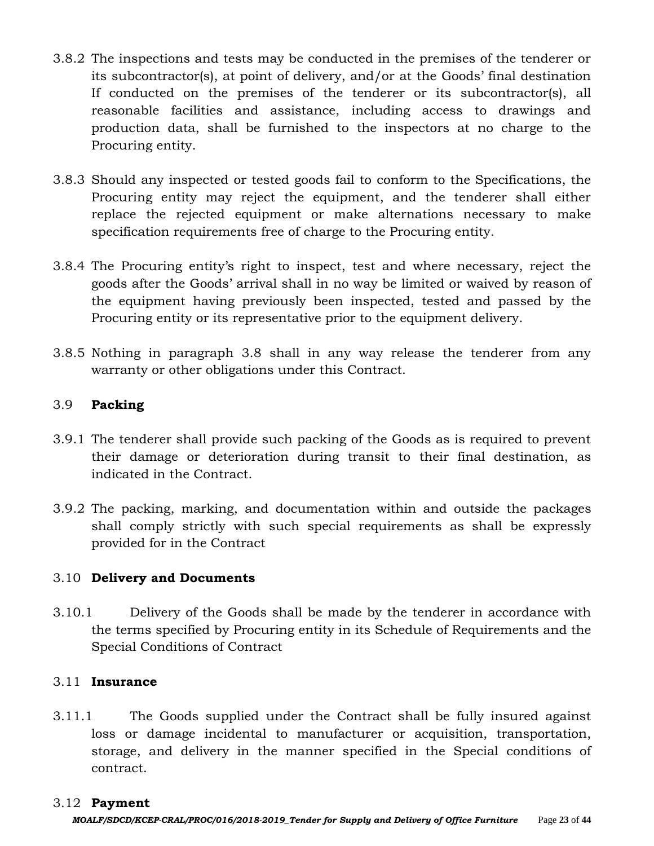- 3.8.2 The inspections and tests may be conducted in the premises of the tenderer or its subcontractor(s), at point of delivery, and/or at the Goods' final destination If conducted on the premises of the tenderer or its subcontractor(s), all reasonable facilities and assistance, including access to drawings and production data, shall be furnished to the inspectors at no charge to the Procuring entity.
- 3.8.3 Should any inspected or tested goods fail to conform to the Specifications, the Procuring entity may reject the equipment, and the tenderer shall either replace the rejected equipment or make alternations necessary to make specification requirements free of charge to the Procuring entity.
- 3.8.4 The Procuring entity's right to inspect, test and where necessary, reject the goods after the Goods' arrival shall in no way be limited or waived by reason of the equipment having previously been inspected, tested and passed by the Procuring entity or its representative prior to the equipment delivery.
- 3.8.5 Nothing in paragraph 3.8 shall in any way release the tenderer from any warranty or other obligations under this Contract.

#### 3.9 **Packing**

- 3.9.1 The tenderer shall provide such packing of the Goods as is required to prevent their damage or deterioration during transit to their final destination, as indicated in the Contract.
- 3.9.2 The packing, marking, and documentation within and outside the packages shall comply strictly with such special requirements as shall be expressly provided for in the Contract

#### 3.10 **Delivery and Documents**

3.10.1 Delivery of the Goods shall be made by the tenderer in accordance with the terms specified by Procuring entity in its Schedule of Requirements and the Special Conditions of Contract

#### 3.11 **Insurance**

3.11.1 The Goods supplied under the Contract shall be fully insured against loss or damage incidental to manufacturer or acquisition, transportation, storage, and delivery in the manner specified in the Special conditions of contract.

#### 3.12 **Payment**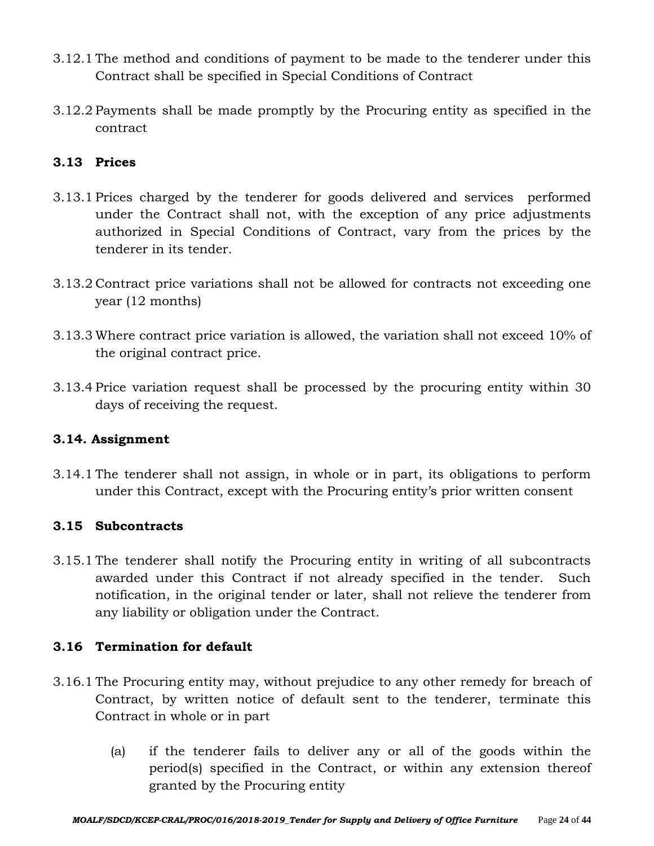- 3.12.1 The method and conditions of payment to be made to the tenderer under this Contract shall be specified in Special Conditions of Contract
- 3.12.2 Payments shall be made promptly by the Procuring entity as specified in the contract

# **3.13 Prices**

- 3.13.1 Prices charged by the tenderer for goods delivered and services performed under the Contract shall not, with the exception of any price adjustments authorized in Special Conditions of Contract, vary from the prices by the tenderer in its tender.
- 3.13.2 Contract price variations shall not be allowed for contracts not exceeding one year (12 months)
- 3.13.3 Where contract price variation is allowed, the variation shall not exceed 10% of the original contract price.
- 3.13.4 Price variation request shall be processed by the procuring entity within 30 days of receiving the request.

## **3.14. Assignment**

3.14.1 The tenderer shall not assign, in whole or in part, its obligations to perform under this Contract, except with the Procuring entity's prior written consent

## **3.15 Subcontracts**

3.15.1 The tenderer shall notify the Procuring entity in writing of all subcontracts awarded under this Contract if not already specified in the tender. Such notification, in the original tender or later, shall not relieve the tenderer from any liability or obligation under the Contract.

## **3.16 Termination for default**

- 3.16.1 The Procuring entity may, without prejudice to any other remedy for breach of Contract, by written notice of default sent to the tenderer, terminate this Contract in whole or in part
	- (a) if the tenderer fails to deliver any or all of the goods within the period(s) specified in the Contract, or within any extension thereof granted by the Procuring entity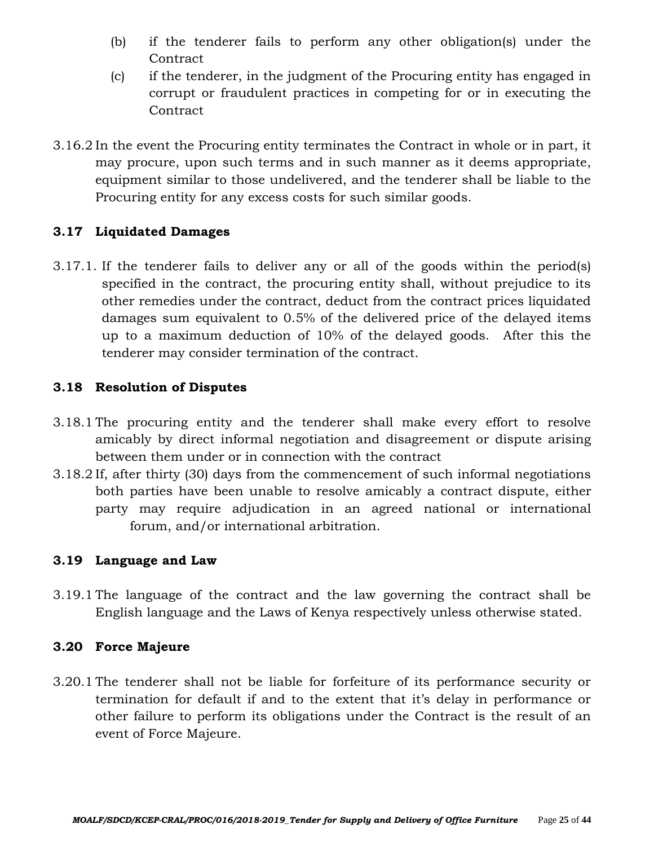- (b) if the tenderer fails to perform any other obligation(s) under the **Contract**
- (c) if the tenderer, in the judgment of the Procuring entity has engaged in corrupt or fraudulent practices in competing for or in executing the **Contract**
- 3.16.2 In the event the Procuring entity terminates the Contract in whole or in part, it may procure, upon such terms and in such manner as it deems appropriate, equipment similar to those undelivered, and the tenderer shall be liable to the Procuring entity for any excess costs for such similar goods.

# **3.17 Liquidated Damages**

3.17.1. If the tenderer fails to deliver any or all of the goods within the period(s) specified in the contract, the procuring entity shall, without prejudice to its other remedies under the contract, deduct from the contract prices liquidated damages sum equivalent to 0.5% of the delivered price of the delayed items up to a maximum deduction of 10% of the delayed goods. After this the tenderer may consider termination of the contract.

## **3.18 Resolution of Disputes**

- 3.18.1 The procuring entity and the tenderer shall make every effort to resolve amicably by direct informal negotiation and disagreement or dispute arising between them under or in connection with the contract
- 3.18.2 If, after thirty (30) days from the commencement of such informal negotiations both parties have been unable to resolve amicably a contract dispute, either party may require adjudication in an agreed national or international forum, and/or international arbitration.

## **3.19 Language and Law**

3.19.1 The language of the contract and the law governing the contract shall be English language and the Laws of Kenya respectively unless otherwise stated.

## **3.20 Force Majeure**

3.20.1 The tenderer shall not be liable for forfeiture of its performance security or termination for default if and to the extent that it's delay in performance or other failure to perform its obligations under the Contract is the result of an event of Force Majeure.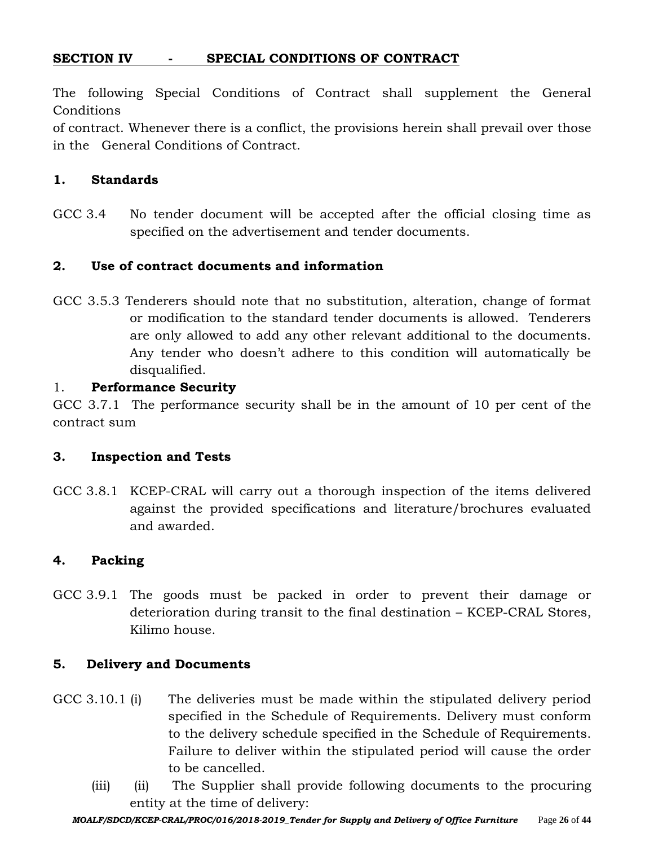# **SECTION IV - SPECIAL CONDITIONS OF CONTRACT**

The following Special Conditions of Contract shall supplement the General **Conditions** 

of contract. Whenever there is a conflict, the provisions herein shall prevail over those in the General Conditions of Contract.

#### **1. Standards**

GCC 3.4 No tender document will be accepted after the official closing time as specified on the advertisement and tender documents.

#### **2. Use of contract documents and information**

GCC 3.5.3 Tenderers should note that no substitution, alteration, change of format or modification to the standard tender documents is allowed. Tenderers are only allowed to add any other relevant additional to the documents. Any tender who doesn't adhere to this condition will automatically be disqualified.

#### 1. **Performance Security**

GCC 3.7.1 The performance security shall be in the amount of 10 per cent of the contract sum

#### **3. Inspection and Tests**

GCC 3.8.1 KCEP-CRAL will carry out a thorough inspection of the items delivered against the provided specifications and literature/brochures evaluated and awarded.

#### **4. Packing**

GCC 3.9.1 The goods must be packed in order to prevent their damage or deterioration during transit to the final destination – KCEP-CRAL Stores, Kilimo house.

#### **5. Delivery and Documents**

- GCC 3.10.1 (i) The deliveries must be made within the stipulated delivery period specified in the Schedule of Requirements. Delivery must conform to the delivery schedule specified in the Schedule of Requirements. Failure to deliver within the stipulated period will cause the order to be cancelled.
	- (iii) (ii) The Supplier shall provide following documents to the procuring entity at the time of delivery: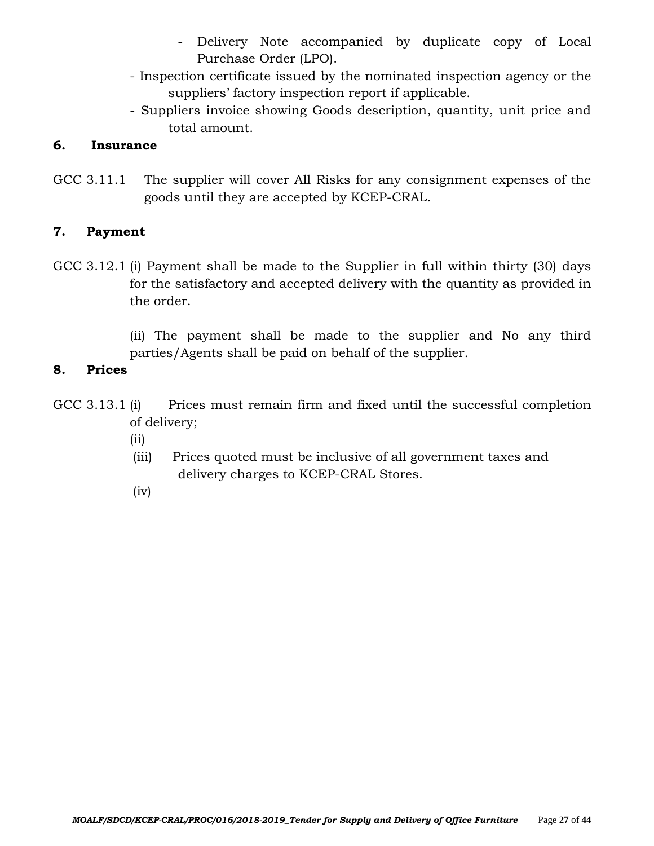- Delivery Note accompanied by duplicate copy of Local Purchase Order (LPO).
- Inspection certificate issued by the nominated inspection agency or the suppliers' factory inspection report if applicable.
- Suppliers invoice showing Goods description, quantity, unit price and total amount.

## **6. Insurance**

GCC 3.11.1 The supplier will cover All Risks for any consignment expenses of the goods until they are accepted by KCEP-CRAL.

# **7. Payment**

- GCC 3.12.1 (i) Payment shall be made to the Supplier in full within thirty (30) days for the satisfactory and accepted delivery with the quantity as provided in the order.
	- (ii) The payment shall be made to the supplier and No any third parties/Agents shall be paid on behalf of the supplier.

## **8. Prices**

- GCC 3.13.1 (i) Prices must remain firm and fixed until the successful completion of delivery;
	- (ii)
	- (iii) Prices quoted must be inclusive of all government taxes and delivery charges to KCEP-CRAL Stores.
	- (iv)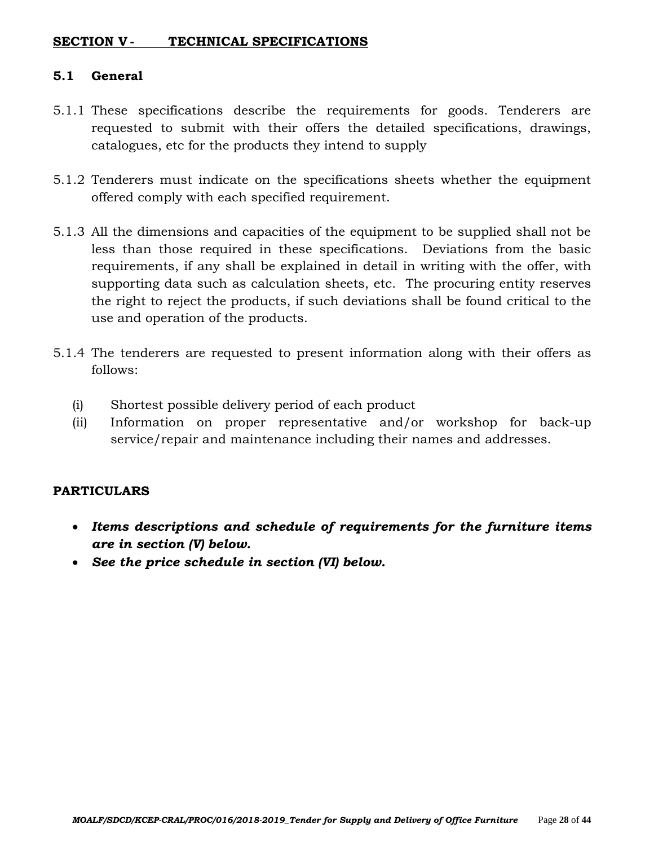### **SECTION V - TECHNICAL SPECIFICATIONS**

#### **5.1 General**

- 5.1.1 These specifications describe the requirements for goods. Tenderers are requested to submit with their offers the detailed specifications, drawings, catalogues, etc for the products they intend to supply
- 5.1.2 Tenderers must indicate on the specifications sheets whether the equipment offered comply with each specified requirement.
- 5.1.3 All the dimensions and capacities of the equipment to be supplied shall not be less than those required in these specifications. Deviations from the basic requirements, if any shall be explained in detail in writing with the offer, with supporting data such as calculation sheets, etc. The procuring entity reserves the right to reject the products, if such deviations shall be found critical to the use and operation of the products.
- 5.1.4 The tenderers are requested to present information along with their offers as follows:
	- (i) Shortest possible delivery period of each product
	- (ii) Information on proper representative and/or workshop for back-up service/repair and maintenance including their names and addresses.

#### **PARTICULARS**

- *Items descriptions and schedule of requirements for the furniture items are in section (V) below.*
- *See the price schedule in section (VI) below.*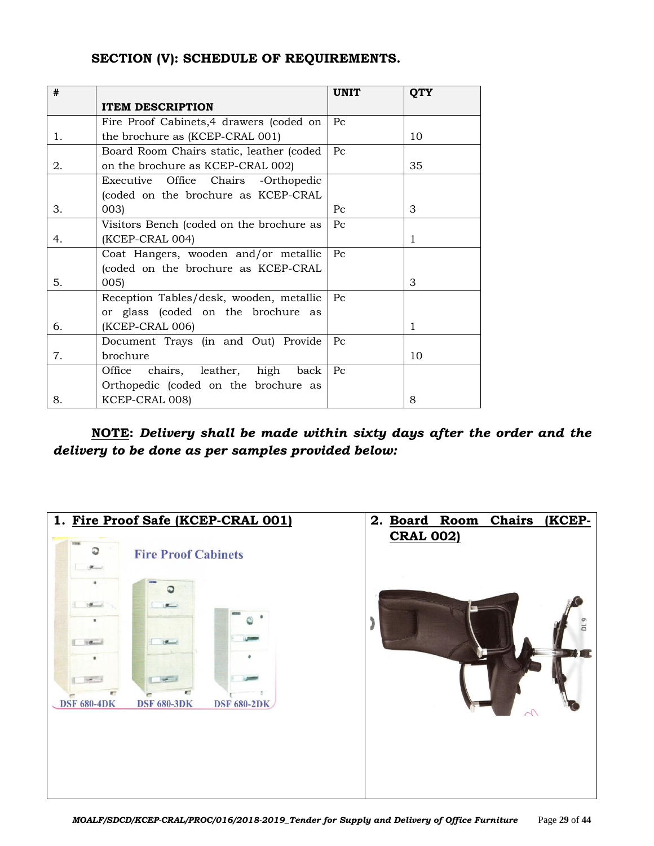#### **SECTION (V): SCHEDULE OF REQUIREMENTS.**

| #  |                                            | <b>UNIT</b> | <b>QTY</b> |
|----|--------------------------------------------|-------------|------------|
|    | <b>ITEM DESCRIPTION</b>                    |             |            |
|    | Fire Proof Cabinets, 4 drawers (coded on   | $P_{C}$     |            |
| 1. | the brochure as (KCEP-CRAL 001)            |             | 10         |
|    | Board Room Chairs static, leather (coded   | $P_{\rm C}$ |            |
| 2. | on the brochure as KCEP-CRAL 002)          |             | 35         |
|    | Office Chairs<br>Executive<br>-Orthopedic  |             |            |
|    | (coded on the brochure as KCEP-CRAL        |             |            |
| 3. | 003)                                       | Pc          | 3          |
|    | Visitors Bench (coded on the brochure as   | Pc          |            |
| 4. | (KCEP-CRAL 004)                            |             | 1          |
|    | Coat Hangers, wooden and/or metallic       | $P_{C}$     |            |
|    | (coded on the brochure as KCEP-CRAL        |             |            |
| 5. | 005)                                       |             | 3          |
|    | Reception Tables/desk, wooden, metallic    | Pc          |            |
|    | or glass (coded on the brochure as         |             |            |
| 6. | (KCEP-CRAL 006)                            |             | 1          |
|    | Document Trays (in and Out) Provide        | $P_{\rm C}$ |            |
| 7. | brochure                                   |             | 10         |
|    | chairs, leather,<br>high<br>Office<br>back | $P_{C}$     |            |
|    | Orthopedic (coded on the brochure as       |             |            |
| 8. | KCEP-CRAL 008)                             |             | 8          |

**NOTE:** *Delivery shall be made within sixty days after the order and the delivery to be done as per samples provided below:*

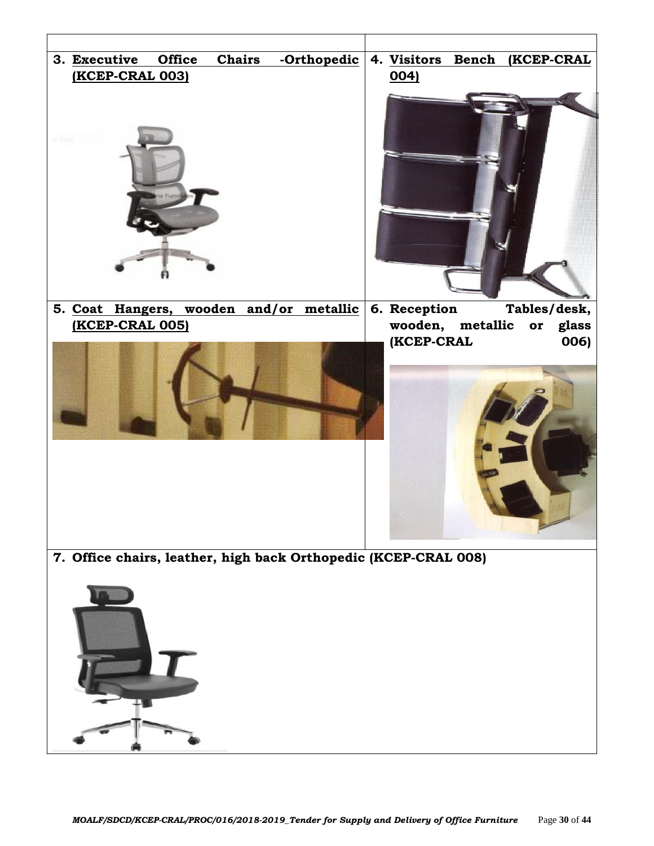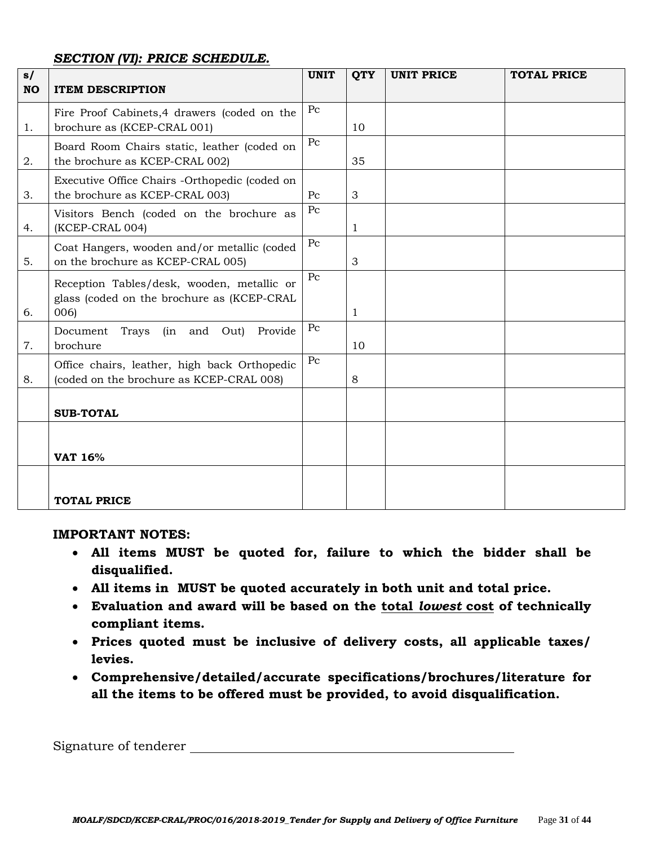#### *SECTION (VI): PRICE SCHEDULE.*

| s/        |                                                                                                  | <b>UNIT</b> | <b>QTY</b> | <b>UNIT PRICE</b> | <b>TOTAL PRICE</b> |
|-----------|--------------------------------------------------------------------------------------------------|-------------|------------|-------------------|--------------------|
| <b>NO</b> | <b>ITEM DESCRIPTION</b>                                                                          |             |            |                   |                    |
| 1.        | Fire Proof Cabinets, 4 drawers (coded on the<br>brochure as (KCEP-CRAL 001)                      | Pc          | 10         |                   |                    |
| 2.        | Board Room Chairs static, leather (coded on<br>the brochure as KCEP-CRAL 002)                    | $P_{C}$     | 35         |                   |                    |
| 3.        | Executive Office Chairs -Orthopedic (coded on<br>the brochure as KCEP-CRAL 003)                  | $P_{\rm C}$ | 3          |                   |                    |
| 4.        | Visitors Bench (coded on the brochure as<br>(KCEP-CRAL 004)                                      | $P_{\rm C}$ | 1          |                   |                    |
| 5.        | Coat Hangers, wooden and/or metallic (coded<br>on the brochure as KCEP-CRAL 005)                 | $P_{C}$     | 3          |                   |                    |
| 6.        | Reception Tables/desk, wooden, metallic or<br>glass (coded on the brochure as (KCEP-CRAL<br>006) | $P_{C}$     | 1          |                   |                    |
| 7.        | Trays (in and Out)<br>Document<br>Provide<br>brochure                                            | Pc          | 10         |                   |                    |
| 8.        | Office chairs, leather, high back Orthopedic<br>(coded on the brochure as KCEP-CRAL 008)         | $P_{C}$     | 8          |                   |                    |
|           | <b>SUB-TOTAL</b>                                                                                 |             |            |                   |                    |
|           | <b>VAT 16%</b>                                                                                   |             |            |                   |                    |
|           | <b>TOTAL PRICE</b>                                                                               |             |            |                   |                    |

#### **IMPORTANT NOTES:**

- **All items MUST be quoted for, failure to which the bidder shall be disqualified.**
- **All items in MUST be quoted accurately in both unit and total price.**
- **Evaluation and award will be based on the total** *lowest* **cost of technically compliant items.**
- **Prices quoted must be inclusive of delivery costs, all applicable taxes/ levies.**
- **Comprehensive/detailed/accurate specifications/brochures/literature for all the items to be offered must be provided, to avoid disqualification.**

Signature of tenderer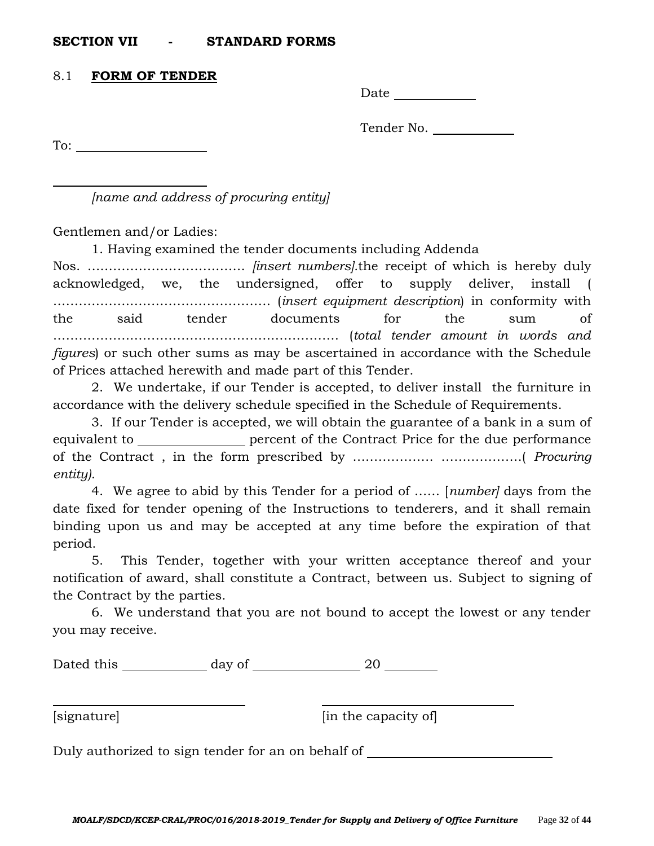#### **SECTION VII - STANDARD FORMS**

#### 8.1 **FORM OF TENDER**

Date and the set of the set of the set of the set of the set of the set of the set of the set of the set of the set of the set of the set of the set of the set of the set of the set of the set of the set of the set of the

Tender No.

To:

*[name and address of procuring entity]*

Gentlemen and/or Ladies:

1. Having examined the tender documents including Addenda

Nos. ………………………………. *[insert numbers].*the receipt of which is hereby duly acknowledged, we, the undersigned, offer to supply deliver, install ( …………………………………………… (*insert equipment description*) in conformity with the said tender documents for the sum of …………………………………………………………. (*total tender amount in words and figures*) or such other sums as may be ascertained in accordance with the Schedule of Prices attached herewith and made part of this Tender.

2. We undertake, if our Tender is accepted, to deliver install the furniture in accordance with the delivery schedule specified in the Schedule of Requirements.

3. If our Tender is accepted, we will obtain the guarantee of a bank in a sum of equivalent to percent of the Contract Price for the due performance of the Contract , in the form prescribed by ………………. ……………….( *Procuring entity).*

4. We agree to abid by this Tender for a period of …… [*number]* days from the date fixed for tender opening of the Instructions to tenderers, and it shall remain binding upon us and may be accepted at any time before the expiration of that period.

5. This Tender, together with your written acceptance thereof and your notification of award, shall constitute a Contract, between us. Subject to signing of the Contract by the parties.

6. We understand that you are not bound to accept the lowest or any tender you may receive.

Dated this day of 20

[signature] [in the capacity of]

Duly authorized to sign tender for an on behalf of \_\_\_\_\_\_\_\_\_\_\_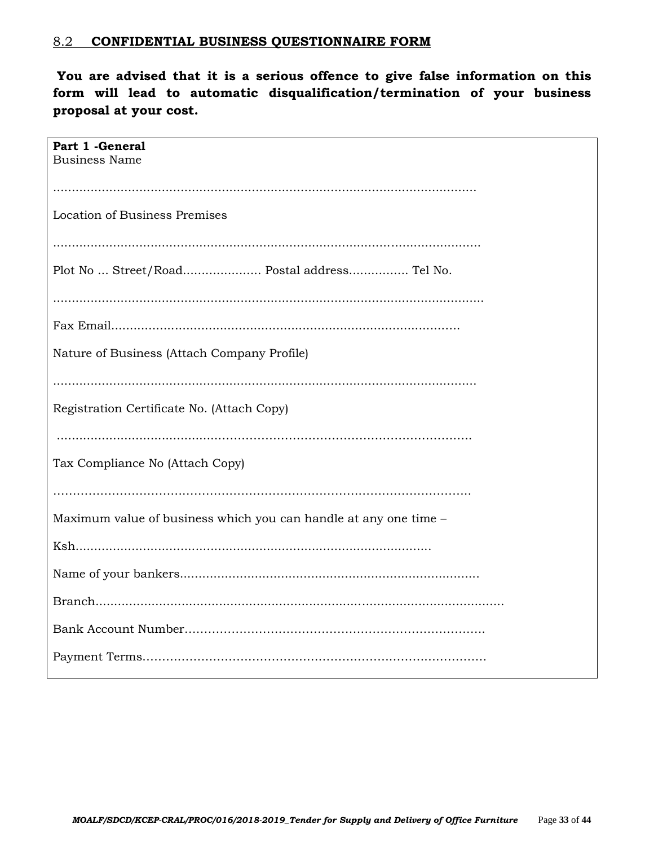#### 8.2 **CONFIDENTIAL BUSINESS QUESTIONNAIRE FORM**

**You are advised that it is a serious offence to give false information on this form will lead to automatic disqualification/termination of your business proposal at your cost.**

| Part 1 - General                                                 |
|------------------------------------------------------------------|
| <b>Business Name</b>                                             |
|                                                                  |
|                                                                  |
|                                                                  |
| Location of Business Premises                                    |
|                                                                  |
|                                                                  |
|                                                                  |
|                                                                  |
| Plot No  Street/Road Postal address Tel No.                      |
|                                                                  |
|                                                                  |
|                                                                  |
|                                                                  |
|                                                                  |
|                                                                  |
| Nature of Business (Attach Company Profile)                      |
|                                                                  |
|                                                                  |
|                                                                  |
| Registration Certificate No. (Attach Copy)                       |
|                                                                  |
|                                                                  |
|                                                                  |
|                                                                  |
| Tax Compliance No (Attach Copy)                                  |
|                                                                  |
|                                                                  |
|                                                                  |
| Maximum value of business which you can handle at any one time - |
|                                                                  |
|                                                                  |
|                                                                  |
|                                                                  |
|                                                                  |
|                                                                  |
|                                                                  |
|                                                                  |
|                                                                  |
|                                                                  |
|                                                                  |
|                                                                  |
|                                                                  |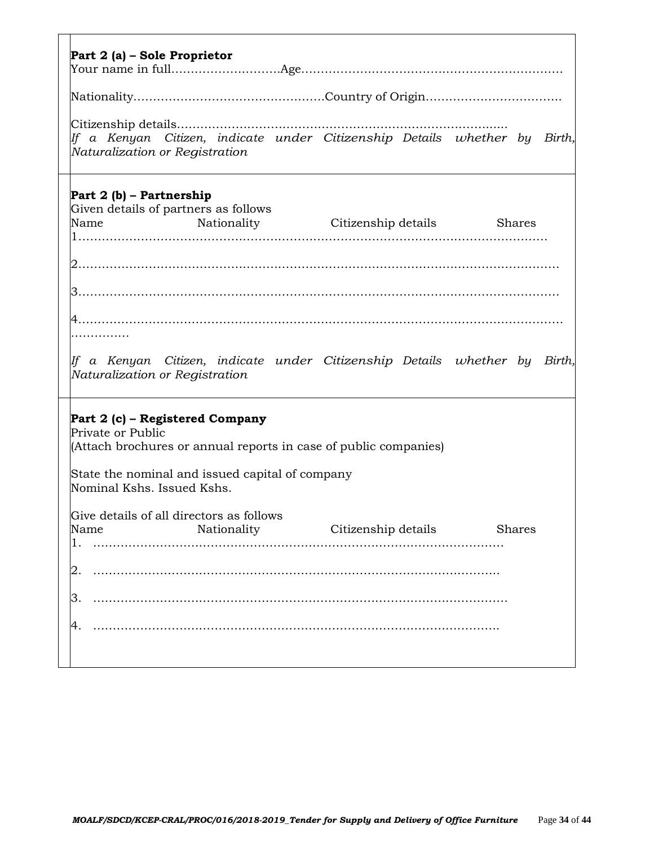| Part 2 (a) – Sole Proprietor                                                                                                                                                                                                                                                                   |                                                                                                                          |
|------------------------------------------------------------------------------------------------------------------------------------------------------------------------------------------------------------------------------------------------------------------------------------------------|--------------------------------------------------------------------------------------------------------------------------|
|                                                                                                                                                                                                                                                                                                |                                                                                                                          |
| Naturalization or Registration                                                                                                                                                                                                                                                                 | If a Kenyan Citizen, indicate under Citizenship Details whether by Birth,                                                |
| Part 2 (b) – Partnership<br>Given details of partners as follows<br>Naturalization or Registration                                                                                                                                                                                             | Name Mationality Citizenship details Shares<br>lf a Kenyan Citizen, indicate under Citizenship Details whether by Birth, |
| Part 2 (c) – Registered Company<br>Private or Public<br>(Attach brochures or annual reports in case of public companies)<br>State the nominal and issued capital of company<br>Nominal Kshs. Issued Kshs.<br>Give details of all directors as follows<br>Name<br>Nationality<br>2.<br>З.<br>4. | Citizenship details<br>Shares                                                                                            |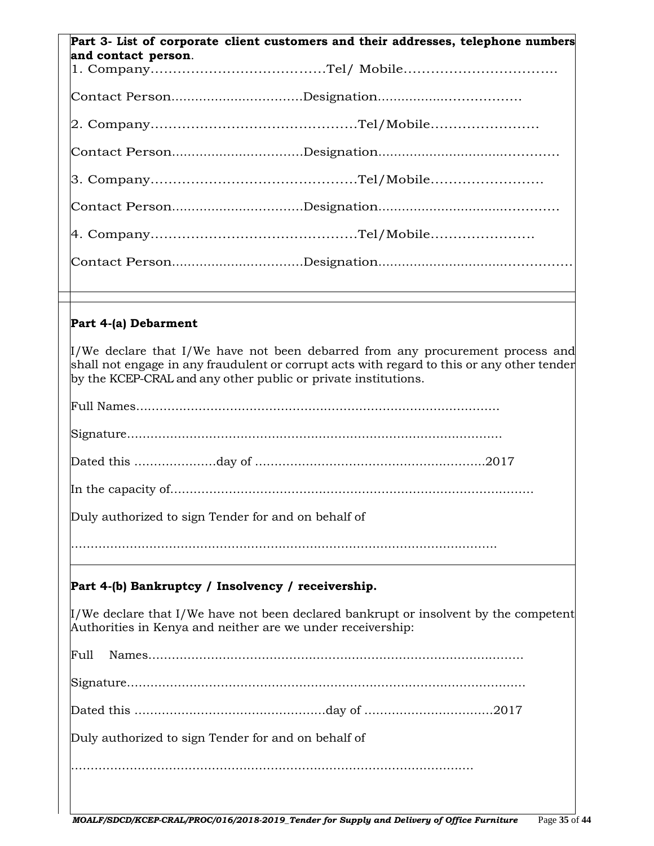| Part 3- List of corporate client customers and their addresses, telephone numbers<br>and contact person.                                                                                                                                                            |
|---------------------------------------------------------------------------------------------------------------------------------------------------------------------------------------------------------------------------------------------------------------------|
|                                                                                                                                                                                                                                                                     |
|                                                                                                                                                                                                                                                                     |
|                                                                                                                                                                                                                                                                     |
|                                                                                                                                                                                                                                                                     |
|                                                                                                                                                                                                                                                                     |
|                                                                                                                                                                                                                                                                     |
|                                                                                                                                                                                                                                                                     |
|                                                                                                                                                                                                                                                                     |
| Part 4-(a) Debarment                                                                                                                                                                                                                                                |
|                                                                                                                                                                                                                                                                     |
| $\mathbb{I}/\mathbb{W}$ e declare that I/We have not been debarred from any procurement process and<br>shall not engage in any fraudulent or corrupt acts with regard to this or any other tender<br>by the KCEP-CRAL and any other public or private institutions. |
|                                                                                                                                                                                                                                                                     |
|                                                                                                                                                                                                                                                                     |
|                                                                                                                                                                                                                                                                     |
|                                                                                                                                                                                                                                                                     |
| Duly authorized to sign Tender for and on behalf of                                                                                                                                                                                                                 |
|                                                                                                                                                                                                                                                                     |
| Part 4-(b) Bankruptcy / Insolvency / receivership.                                                                                                                                                                                                                  |
| $\mu$ /We declare that I/We have not been declared bankrupt or insolvent by the competent<br>Authorities in Kenya and neither are we under receivership:                                                                                                            |
| Full                                                                                                                                                                                                                                                                |
|                                                                                                                                                                                                                                                                     |
|                                                                                                                                                                                                                                                                     |
| Duly authorized to sign Tender for and on behalf of                                                                                                                                                                                                                 |
|                                                                                                                                                                                                                                                                     |
|                                                                                                                                                                                                                                                                     |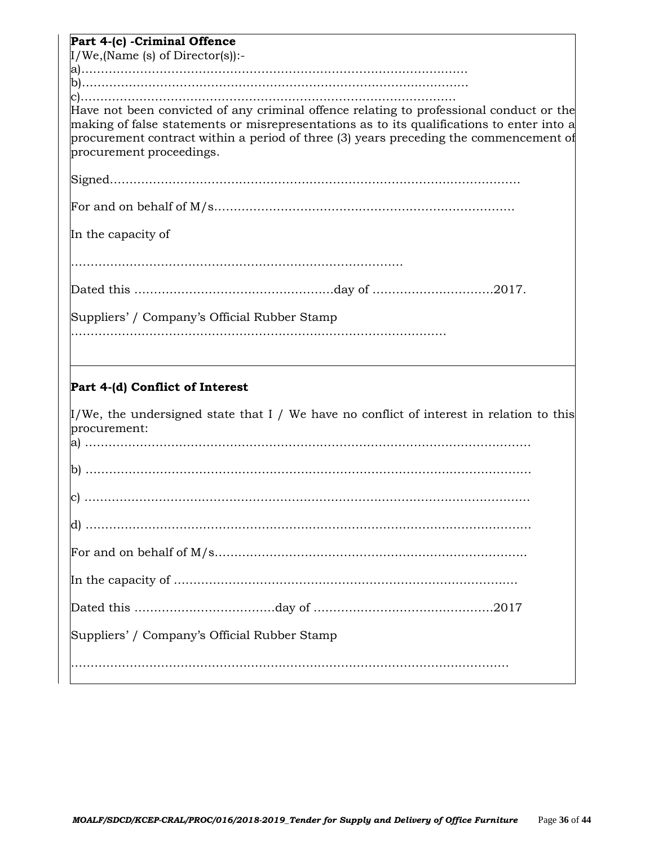| Part 4-(c) - Criminal Offence                                                                                                 |
|-------------------------------------------------------------------------------------------------------------------------------|
| $I/We$ , (Name (s) of Director(s)):-                                                                                          |
|                                                                                                                               |
|                                                                                                                               |
|                                                                                                                               |
| Have not been convicted of any criminal offence relating to professional conduct or the                                       |
| making of false statements or misrepresentations as to its qualifications to enter into a                                     |
| procurement contract within a period of three (3) years preceding the commencement of                                         |
| procurement proceedings.                                                                                                      |
|                                                                                                                               |
|                                                                                                                               |
|                                                                                                                               |
|                                                                                                                               |
|                                                                                                                               |
| In the capacity of                                                                                                            |
|                                                                                                                               |
|                                                                                                                               |
|                                                                                                                               |
|                                                                                                                               |
| Suppliers' / Company's Official Rubber Stamp                                                                                  |
|                                                                                                                               |
|                                                                                                                               |
|                                                                                                                               |
|                                                                                                                               |
|                                                                                                                               |
|                                                                                                                               |
| Part 4-(d) Conflict of Interest                                                                                               |
|                                                                                                                               |
| $\texttt{I}/\texttt{We}$ , the undersigned state that I / We have no conflict of interest in relation to this<br>procurement: |
|                                                                                                                               |
|                                                                                                                               |
|                                                                                                                               |
|                                                                                                                               |
|                                                                                                                               |
|                                                                                                                               |
|                                                                                                                               |
|                                                                                                                               |
|                                                                                                                               |
|                                                                                                                               |
|                                                                                                                               |
|                                                                                                                               |
|                                                                                                                               |
|                                                                                                                               |
| Suppliers' / Company's Official Rubber Stamp                                                                                  |
|                                                                                                                               |
|                                                                                                                               |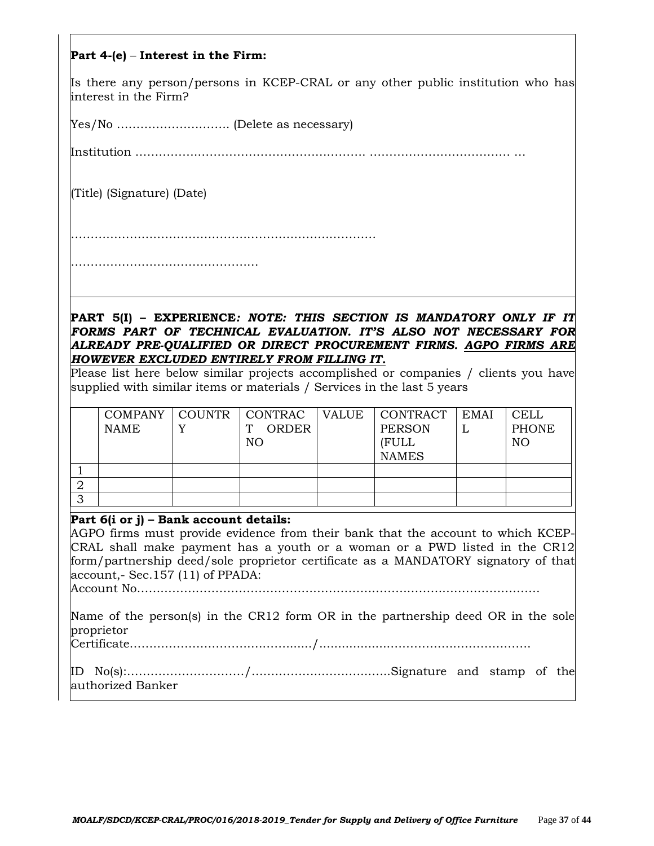#### **Part 4-(e)** – **Interest in the Firm:**

Is there any person/persons in KCEP-CRAL or any other public institution who has interest in the Firm?

Yes/No ……………………….. (Delete as necessary)

Institution …………….……………………………………. ……………………………… …

(Title) (Signature) (Date)

……………………………………………………………………

………………………………………………………………

**PART 5(I) – EXPERIENCE***: NOTE: THIS SECTION IS MANDATORY ONLY IF IT FORMS PART OF TECHNICAL EVALUATION. IT'S ALSO NOT NECESSARY FOR ALREADY PRE-QUALIFIED OR DIRECT PROCUREMENT FIRMS. AGPO FIRMS ARE HOWEVER EXCLUDED ENTIRELY FROM FILLING IT.*

Please list here below similar projects accomplished or companies / clients you have supplied with similar items or materials / Services in the last 5 years

|   | <b>NAME</b> | COMPANY   COUNTR   CONTRAC   VALUE<br><b>ORDER</b><br>NO | <b>CONTRACT</b><br><b>PERSON</b><br>(FULL<br><b>NAMES</b> | <b>EMAI</b> | <b>CELL</b><br>PHONE<br>NO |
|---|-------------|----------------------------------------------------------|-----------------------------------------------------------|-------------|----------------------------|
|   |             |                                                          |                                                           |             |                            |
|   |             |                                                          |                                                           |             |                            |
| ີ |             |                                                          |                                                           |             |                            |

#### **Part 6(i or j) – Bank account details:**

AGPO firms must provide evidence from their bank that the account to which KCEP-CRAL shall make payment has a youth or a woman or a PWD listed in the CR12 form/partnership deed/sole proprietor certificate as a MANDATORY signatory of that account,- Sec.157 (11) of PPADA:

Account No………………………………………………………………………………………….

Name of the person(s) in the CR12 form OR in the partnership deed OR in the sole proprietor

Certificate………………………….………......./...................……………..……………….

|  | authorized Banker |  |  |  |
|--|-------------------|--|--|--|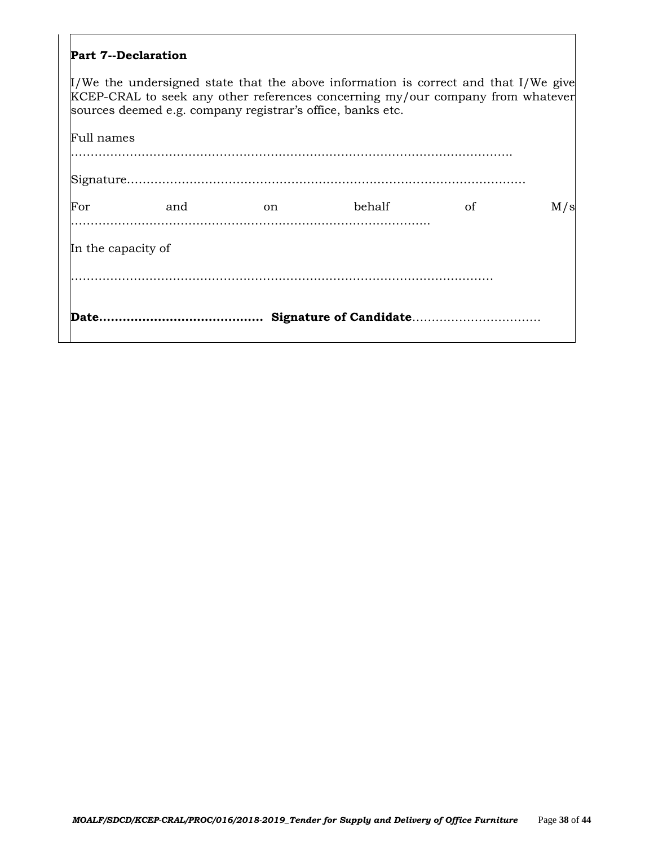#### **Part 7--Declaration**

 $\mu$ /We the undersigned state that the above information is correct and that I/We give KCEP-CRAL to seek any other references concerning my/our company from whatever sources deemed e.g. company registrar's office, banks etc.

| <b>Date.</b>       |     |    |        |    |     |
|--------------------|-----|----|--------|----|-----|
| In the capacity of |     |    |        |    |     |
| For                | and | on | behalf | οf | M/s |
|                    |     |    |        |    |     |
| Full names         |     |    |        |    |     |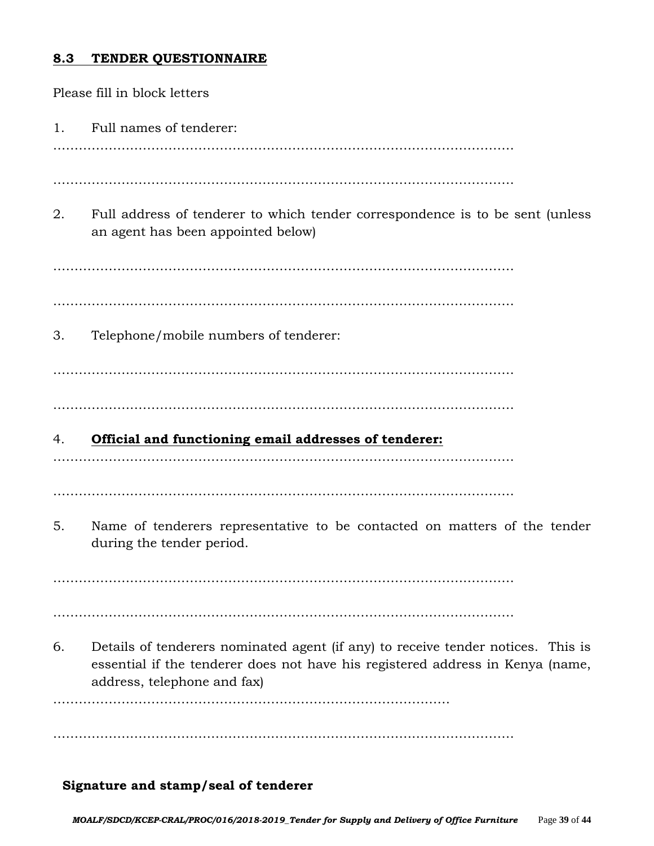### **8.3 TENDER QUESTIONNAIRE**

Please fill in block letters 1. Full names of tenderer: ……………………………………………………………………………………………… ……………………………………………………………………………………………… 2. Full address of tenderer to which tender correspondence is to be sent (unless an agent has been appointed below) ……………………………………………………………………………………………… ……………………………………………………………………………………………… 3. Telephone/mobile numbers of tenderer: ……………………………………………………………………………………………… ……………………………………………………………………………………………… 4. **Official and functioning email addresses of tenderer:** ……………………………………………………………………………………………… ……………………………………………………………………………………………… 5. Name of tenderers representative to be contacted on matters of the tender during the tender period. ……………………………………………………………………………………………… ……………………………………………………………………………………………… 6. Details of tenderers nominated agent (if any) to receive tender notices. This is essential if the tenderer does not have his registered address in Kenya (name, address, telephone and fax) ………………………………………………………………………………… ………………………………………………………………………………………………

#### **Signature and stamp/seal of tenderer**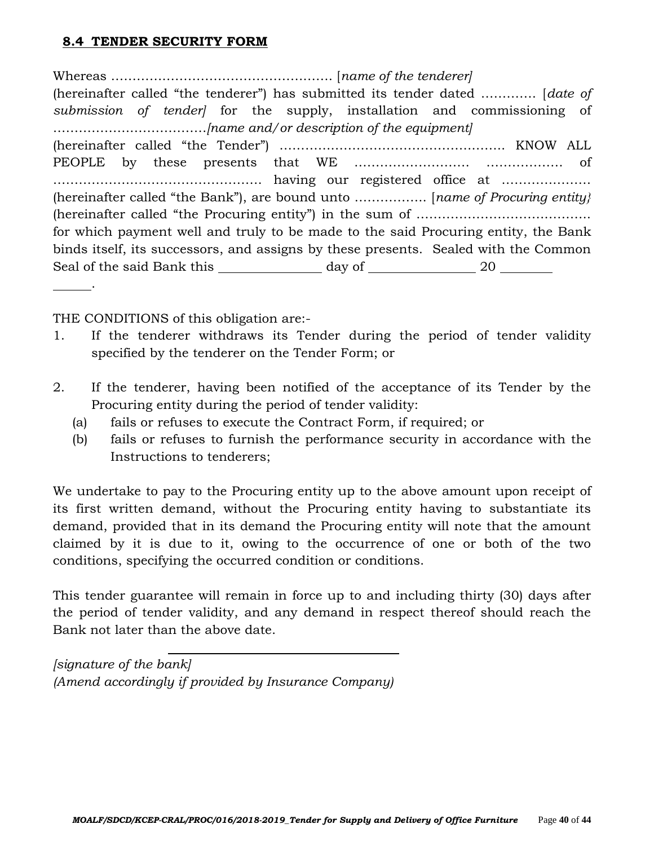# **8.4 TENDER SECURITY FORM**

Whereas ……………………………………………. [*name of the tenderer]* (hereinafter called "the tenderer") has submitted its tender dated …………. [*date of submission of tender]* for the supply, installation and commissioning of ………………………………*[name and/or description of the equipment]* (hereinafter called "the Tender") …………………………………………….. KNOW ALL PEOPLE by these presents that WE ……………………… ……………… of …………………………………………. having our registered office at ………………… (hereinafter called "the Bank"), are bound unto …………….. [*name of Procuring entity}*  (hereinafter called "the Procuring entity") in the sum of ………………………………….. for which payment well and truly to be made to the said Procuring entity, the Bank binds itself, its successors, and assigns by these presents. Sealed with the Common Seal of the said Bank this \_\_\_\_\_\_\_\_\_\_\_\_\_\_\_ day of \_\_\_\_\_\_\_\_\_\_\_\_\_\_\_\_\_ 20 \_\_\_\_\_\_\_\_\_

THE CONDITIONS of this obligation are:-

.

- 1. If the tenderer withdraws its Tender during the period of tender validity specified by the tenderer on the Tender Form; or
- 2. If the tenderer, having been notified of the acceptance of its Tender by the Procuring entity during the period of tender validity:
	- (a) fails or refuses to execute the Contract Form, if required; or
	- (b) fails or refuses to furnish the performance security in accordance with the Instructions to tenderers;

We undertake to pay to the Procuring entity up to the above amount upon receipt of its first written demand, without the Procuring entity having to substantiate its demand, provided that in its demand the Procuring entity will note that the amount claimed by it is due to it, owing to the occurrence of one or both of the two conditions, specifying the occurred condition or conditions.

This tender guarantee will remain in force up to and including thirty (30) days after the period of tender validity, and any demand in respect thereof should reach the Bank not later than the above date.

*[signature of the bank] (Amend accordingly if provided by Insurance Company)*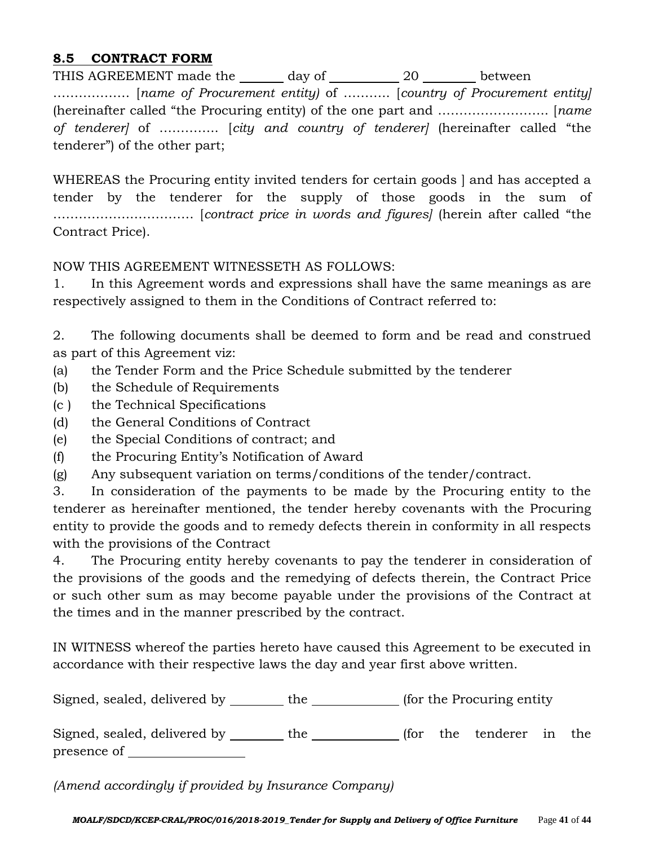## **8.5 CONTRACT FORM**

THIS AGREEMENT made the day of 20 between ……………… [*name of Procurement entity)* of ……….. [*country of Procurement entity]* (hereinafter called "the Procuring entity) of the one part and …………………….. [*name of tenderer]* of ………….. [*city and country of tenderer]* (hereinafter called "the tenderer") of the other part;

WHEREAS the Procuring entity invited tenders for certain goods ] and has accepted a tender by the tenderer for the supply of those goods in the sum of …………………………… [*contract price in words and figures]* (herein after called "the Contract Price).

#### NOW THIS AGREEMENT WITNESSETH AS FOLLOWS:

1. In this Agreement words and expressions shall have the same meanings as are respectively assigned to them in the Conditions of Contract referred to:

2. The following documents shall be deemed to form and be read and construed as part of this Agreement viz:

- (a) the Tender Form and the Price Schedule submitted by the tenderer
- (b) the Schedule of Requirements
- (c ) the Technical Specifications
- (d) the General Conditions of Contract
- (e) the Special Conditions of contract; and
- (f) the Procuring Entity's Notification of Award
- (g) Any subsequent variation on terms/conditions of the tender/contract.

3. In consideration of the payments to be made by the Procuring entity to the tenderer as hereinafter mentioned, the tender hereby covenants with the Procuring entity to provide the goods and to remedy defects therein in conformity in all respects with the provisions of the Contract

4. The Procuring entity hereby covenants to pay the tenderer in consideration of the provisions of the goods and the remedying of defects therein, the Contract Price or such other sum as may become payable under the provisions of the Contract at the times and in the manner prescribed by the contract.

IN WITNESS whereof the parties hereto have caused this Agreement to be executed in accordance with their respective laws the day and year first above written.

| Signed, sealed, delivered by                | the |  | (for the Procuring entity) |                          |  |  |  |  |
|---------------------------------------------|-----|--|----------------------------|--------------------------|--|--|--|--|
| Signed, sealed, delivered by<br>presence of | the |  |                            | (for the tenderer in the |  |  |  |  |

*(Amend accordingly if provided by Insurance Company)*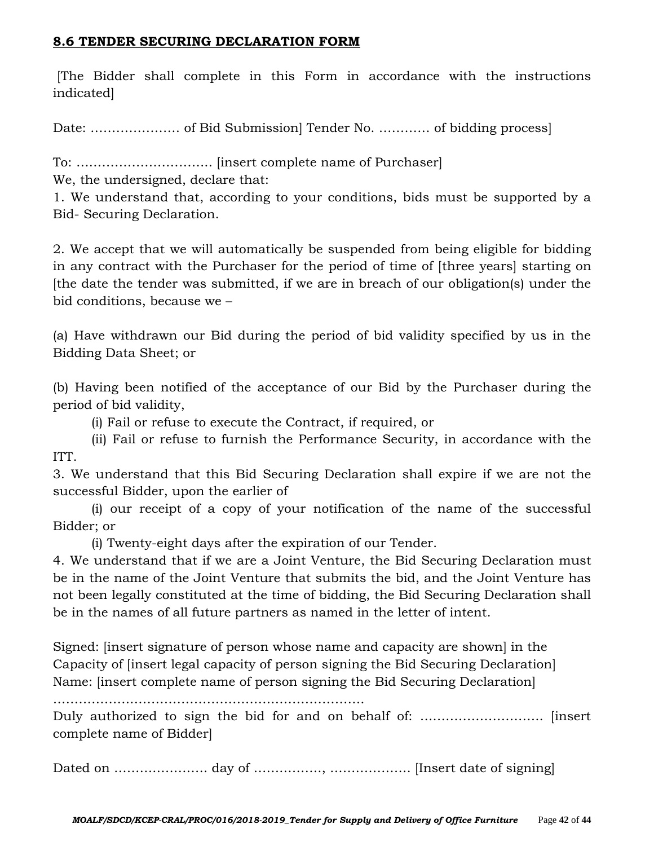### **8.6 TENDER SECURING DECLARATION FORM**

[The Bidder shall complete in this Form in accordance with the instructions indicated]

Date: ………………… of Bid Submission] Tender No. ………… of bidding process]

To: ………………………….. [insert complete name of Purchaser]

We, the undersigned, declare that:

1. We understand that, according to your conditions, bids must be supported by a Bid- Securing Declaration.

2. We accept that we will automatically be suspended from being eligible for bidding in any contract with the Purchaser for the period of time of [three years] starting on [the date the tender was submitted, if we are in breach of our obligation(s) under the bid conditions, because we –

(a) Have withdrawn our Bid during the period of bid validity specified by us in the Bidding Data Sheet; or

(b) Having been notified of the acceptance of our Bid by the Purchaser during the period of bid validity,

(i) Fail or refuse to execute the Contract, if required, or

(ii) Fail or refuse to furnish the Performance Security, in accordance with the ITT.

3. We understand that this Bid Securing Declaration shall expire if we are not the successful Bidder, upon the earlier of

(i) our receipt of a copy of your notification of the name of the successful Bidder; or

(i) Twenty-eight days after the expiration of our Tender.

4. We understand that if we are a Joint Venture, the Bid Securing Declaration must be in the name of the Joint Venture that submits the bid, and the Joint Venture has not been legally constituted at the time of bidding, the Bid Securing Declaration shall be in the names of all future partners as named in the letter of intent.

Signed: [insert signature of person whose name and capacity are shown] in the Capacity of [insert legal capacity of person signing the Bid Securing Declaration] Name: [insert complete name of person signing the Bid Securing Declaration]

……………………………………………………………….

Duly authorized to sign the bid for and on behalf of: ……………………….. [insert complete name of Bidder]

Dated on …………………. day of ……………., ………………. [Insert date of signing]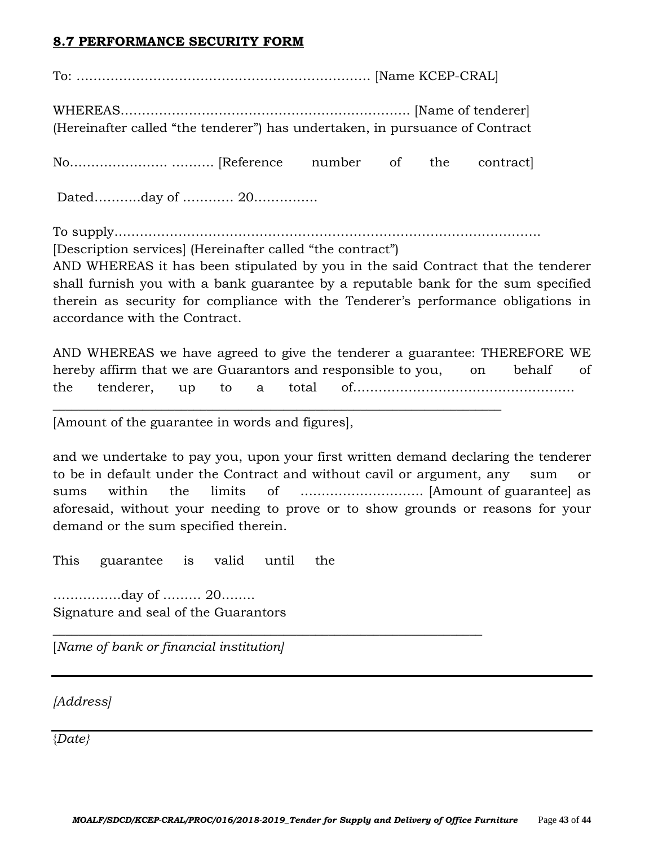## **8.7 PERFORMANCE SECURITY FORM**

To: …………………………………………………………… [Name KCEP-CRAL]

WHEREAS………………………………………………………….. [Name of tenderer] (Hereinafter called "the tenderer") has undertaken, in pursuance of Contract

No………………….. ………. [Reference number of the contract]

Dated………..day of ………… 20……………

To supply……………………………………………………………………………………….

[Description services] (Hereinafter called "the contract")

AND WHEREAS it has been stipulated by you in the said Contract that the tenderer shall furnish you with a bank guarantee by a reputable bank for the sum specified therein as security for compliance with the Tenderer's performance obligations in accordance with the Contract.

AND WHEREAS we have agreed to give the tenderer a guarantee: THEREFORE WE hereby affirm that we are Guarantors and responsible to you, on behalf of the tenderer, up to a total of…………………………………………….

 $\_$  , and the set of the set of the set of the set of the set of the set of the set of the set of the set of the set of the set of the set of the set of the set of the set of the set of the set of the set of the set of th

\_\_\_\_\_\_\_\_\_\_\_\_\_\_\_\_\_\_\_\_\_\_\_\_\_\_\_\_\_\_\_\_\_\_\_\_\_\_\_\_\_\_\_\_\_\_\_\_\_\_\_\_\_\_\_\_\_\_\_\_\_\_\_\_\_\_\_

[Amount of the guarantee in words and figures],

and we undertake to pay you, upon your first written demand declaring the tenderer to be in default under the Contract and without cavil or argument, any sum or sums within the limits of ……………………….. [Amount of guarantee] as aforesaid, without your needing to prove or to show grounds or reasons for your demand or the sum specified therein.

This guarantee is valid until the

…………….day of ……… 20…….. Signature and seal of the Guarantors

[*Name of bank or financial institution]*

*[Address]*

{*Date}*